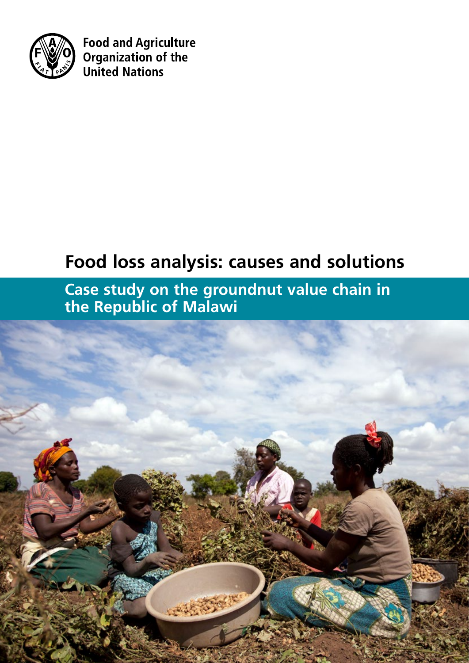

**Food and Agriculture** Organization of the **United Nations** 

# **Food loss analysis: causes and solutions**

**Case study on the groundnut value chain in the Republic of Malawi**

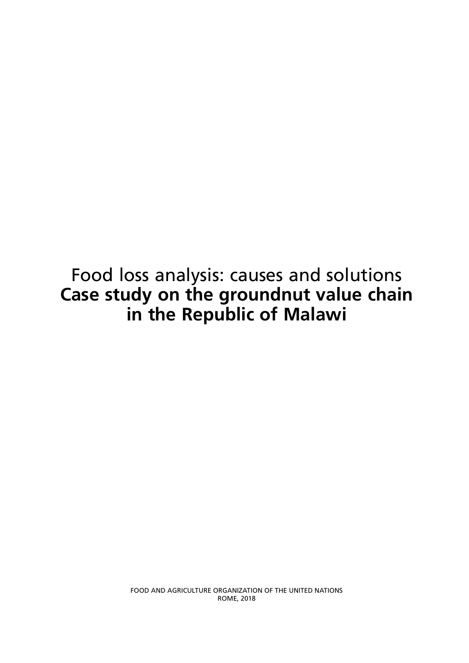## Food loss analysis: causes and solutions **Case study on the groundnut value chain in the Republic of Malawi**

FOOD AND AGRICULTURE ORGANIZATION OF THE UNITED NATIONS ROME, 2018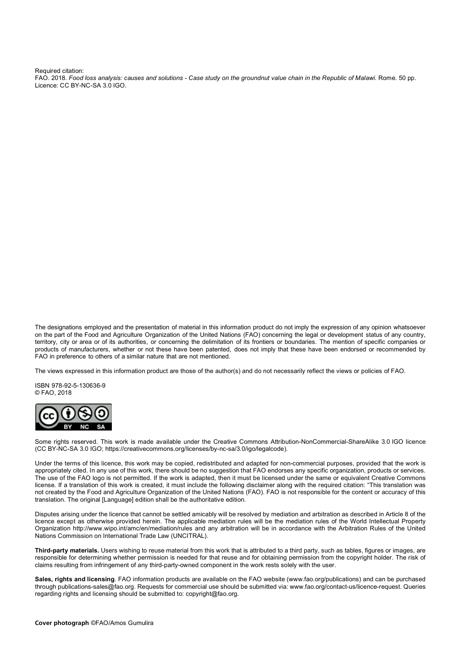Required citation:

FAO. 2018. *Food loss analysis: causes and solutions - Case study on the groundnut value chain in the Republic of Malawi.* Rome. 50 pp. Licence: CC BY-NC-SA 3.0 IGO.

The designations employed and the presentation of material in this information product do not imply the expression of any opinion whatsoever on the part of the Food and Agriculture Organization of the United Nations (FAO) concerning the legal or development status of any country, territory, city or area or of its authorities, or concerning the delimitation of its frontiers or boundaries. The mention of specific companies or products of manufacturers, whether or not these have been patented, does not imply that these have been endorsed or recommended by FAO in preference to others of a similar nature that are not mentioned.

The views expressed in this information product are those of the author(s) and do not necessarily reflect the views or policies of FAO.

ISBN 978-92-5-130636-9 © FAO, 2018



Some rights reserved. This work is made available under the Creative Commons Attribution-NonCommercial-ShareAlike 3.0 IGO licence (CC BY-NC-SA 3.0 IGO; https://creativecommons.org/licenses/by-nc-sa/3.0/igo/legalcode).

Under the terms of this licence, this work may be copied, redistributed and adapted for non-commercial purposes, provided that the work is appropriately cited. In any use of this work, there should be no suggestion that FAO endorses any specific organization, products or services. The use of the FAO logo is not permitted. If the work is adapted, then it must be licensed under the same or equivalent Creative Commons license. If a translation of this work is created, it must include the following disclaimer along with the required citation: "This translation was not created by the Food and Agriculture Organization of the United Nations (FAO). FAO is not responsible for the content or accuracy of this translation. The original [Language] edition shall be the authoritative edition.

Disputes arising under the licence that cannot be settled amicably will be resolved by mediation and arbitration as described in Article 8 of the licence except as otherwise provided herein. The applicable mediation rules will be the mediation rules of the World Intellectual Property Organization http://www.wipo.int/amc/en/mediation/rules and any arbitration will be in accordance with the Arbitration Rules of the United Nations Commission on International Trade Law (UNCITRAL).

**Third-party materials.** Users wishing to reuse material from this work that is attributed to a third party, such as tables, figures or images, are responsible for determining whether permission is needed for that reuse and for obtaining permission from the copyright holder. The risk of claims resulting from infringement of any third-party-owned component in the work rests solely with the user.

**Sales, rights and licensing**. FAO information products are available on the FAO website (www.fao.org/publications) and can be purchased through publications-sales@fao.org. Requests for commercial use should be submitted via: www.fao.org/contact-us/licence-request. Queries regarding rights and licensing should be submitted to: copyright@fao.org.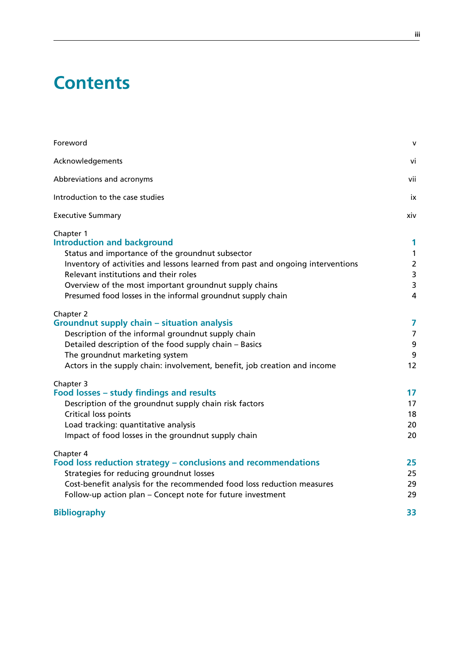## **Contents**

| Foreword                                                                                                                                                                                                                                                                                                                                                 | $\mathbf{V}$                                                    |
|----------------------------------------------------------------------------------------------------------------------------------------------------------------------------------------------------------------------------------------------------------------------------------------------------------------------------------------------------------|-----------------------------------------------------------------|
| Acknowledgements                                                                                                                                                                                                                                                                                                                                         | vi                                                              |
| Abbreviations and acronyms                                                                                                                                                                                                                                                                                                                               | vii                                                             |
| Introduction to the case studies                                                                                                                                                                                                                                                                                                                         | ix                                                              |
| <b>Executive Summary</b>                                                                                                                                                                                                                                                                                                                                 | xiv                                                             |
| Chapter 1<br><b>Introduction and background</b><br>Status and importance of the groundnut subsector<br>Inventory of activities and lessons learned from past and ongoing interventions<br>Relevant institutions and their roles<br>Overview of the most important groundnut supply chains<br>Presumed food losses in the informal groundnut supply chain | 1<br>$\mathbf{1}$<br>$\overline{2}$<br>3<br>3<br>$\overline{4}$ |
| Chapter 2<br>Groundnut supply chain – situation analysis<br>Description of the informal groundnut supply chain<br>Detailed description of the food supply chain - Basics<br>The groundnut marketing system<br>Actors in the supply chain: involvement, benefit, job creation and income                                                                  | 7<br>$\overline{7}$<br>9<br>9<br>12                             |
| Chapter 3<br>Food losses - study findings and results<br>Description of the groundnut supply chain risk factors<br>Critical loss points<br>Load tracking: quantitative analysis<br>Impact of food losses in the groundnut supply chain                                                                                                                   | 17<br>17<br>18<br>20<br>20                                      |
| Chapter 4<br>Food loss reduction strategy – conclusions and recommendations<br>Strategies for reducing groundnut losses<br>Cost-benefit analysis for the recommended food loss reduction measures<br>Follow-up action plan - Concept note for future investment                                                                                          | 25<br>25<br>29<br>29                                            |
| <b>Bibliography</b>                                                                                                                                                                                                                                                                                                                                      | 33                                                              |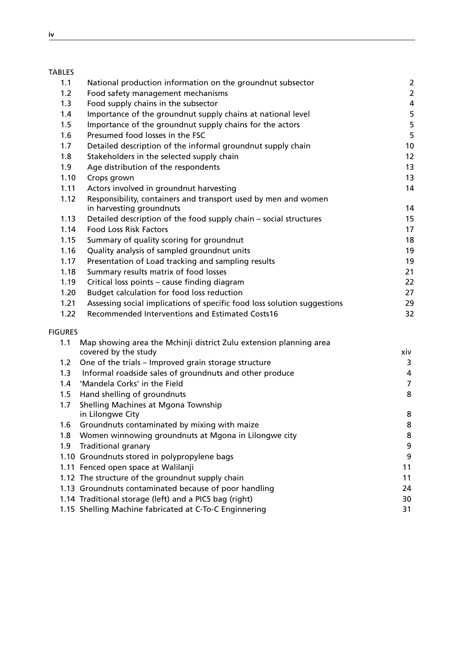## TABLES

| 1.1            | National production information on the groundnut subsector                                 | $\overline{\mathbf{c}}$ |
|----------------|--------------------------------------------------------------------------------------------|-------------------------|
| 1.2            | Food safety management mechanisms                                                          | $\overline{\mathbf{c}}$ |
| 1.3            | Food supply chains in the subsector                                                        | 4                       |
| 1.4            | Importance of the groundnut supply chains at national level                                | 5                       |
| 1.5            | Importance of the groundnut supply chains for the actors                                   | 5                       |
| 1.6            | Presumed food losses in the FSC                                                            | 5                       |
| 1.7            | Detailed description of the informal groundnut supply chain                                | 10                      |
| 1.8            | Stakeholders in the selected supply chain                                                  | 12                      |
| 1.9            | Age distribution of the respondents                                                        | 13                      |
| 1.10           | Crops grown                                                                                | 13                      |
| 1.11           | Actors involved in groundnut harvesting                                                    | 14                      |
| 1.12           | Responsibility, containers and transport used by men and women<br>in harvesting groundnuts | 14                      |
| 1.13           | Detailed description of the food supply chain - social structures                          | 15                      |
| 1.14           | <b>Food Loss Risk Factors</b>                                                              | 17                      |
| 1.15           | Summary of quality scoring for groundnut                                                   | 18                      |
| 1.16           | Quality analysis of sampled groundnut units                                                | 19                      |
| 1.17           | Presentation of Load tracking and sampling results                                         | 19                      |
| 1.18           | Summary results matrix of food losses                                                      | 21                      |
| 1.19           | Critical loss points - cause finding diagram                                               | 22                      |
| 1.20           | Budget calculation for food loss reduction                                                 | 27                      |
| 1.21           | Assessing social implications of specific food loss solution suggestions                   | 29                      |
| 1.22           | Recommended Interventions and Estimated Costs16                                            | 32                      |
| <b>FIGURES</b> |                                                                                            |                         |
| 1.1            | Map showing area the Mchinji district Zulu extension planning area                         |                         |
|                | covered by the study                                                                       | xiv                     |
| 1.2            | One of the trials - Improved grain storage structure                                       | 3                       |
| 1.3            | Informal roadside sales of groundnuts and other produce                                    | 4                       |
| 1.4            | 'Mandela Corks' in the Field                                                               | $\overline{7}$          |
| 1.5            | Hand shelling of groundnuts                                                                | 8                       |
| 1.7            | Shelling Machines at Mgona Township                                                        |                         |
|                | in Lilongwe City                                                                           | 8                       |
| 1.6            | Groundnuts contaminated by mixing with maize                                               | 8                       |
| 1.8            | Women winnowing groundnuts at Mgona in Lilongwe city                                       | 8                       |
| 1.9            | <b>Traditional granary</b>                                                                 | 9                       |
|                | 1.10 Groundnuts stored in polypropylene bags                                               | 9                       |
|                | 1.11 Fenced open space at Walilanji                                                        | 11                      |
|                | 1.12 The structure of the groundnut supply chain                                           | 11                      |
|                | 1.13 Groundnuts contaminated because of poor handling                                      | 24                      |
|                | 1.14 Traditional storage (left) and a PICS bag (right)                                     | 30                      |
|                | 1.15 Shelling Machine fabricated at C-To-C Enginnering                                     | 31                      |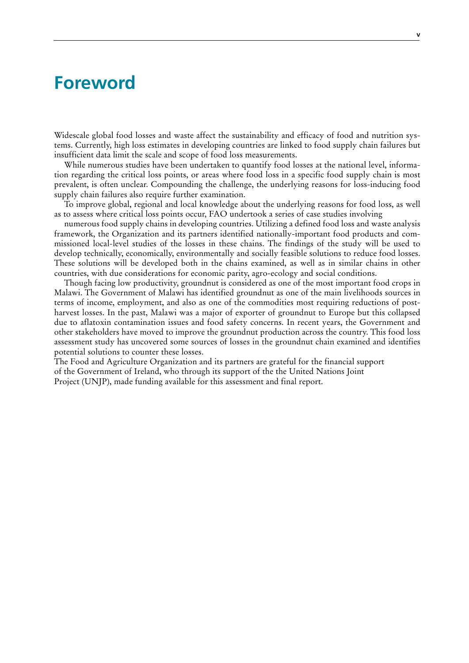## <span id="page-6-0"></span>**Foreword**

Widescale global food losses and waste affect the sustainability and efficacy of food and nutrition systems. Currently, high loss estimates in developing countries are linked to food supply chain failures but insufficient data limit the scale and scope of food loss measurements.

While numerous studies have been undertaken to quantify food losses at the national level, information regarding the critical loss points, or areas where food loss in a specific food supply chain is most prevalent, is often unclear. Compounding the challenge, the underlying reasons for loss-inducing food supply chain failures also require further examination.

To improve global, regional and local knowledge about the underlying reasons for food loss, as well as to assess where critical loss points occur, FAO undertook a series of case studies involving

numerous food supply chains in developing countries. Utilizing a defined food loss and waste analysis framework, the Organization and its partners identified nationally-important food products and commissioned local-level studies of the losses in these chains. The findings of the study will be used to develop technically, economically, environmentally and socially feasible solutions to reduce food losses. These solutions will be developed both in the chains examined, as well as in similar chains in other countries, with due considerations for economic parity, agro-ecology and social conditions.

Though facing low productivity, groundnut is considered as one of the most important food crops in Malawi. The Government of Malawi has identified groundnut as one of the main livelihoods sources in terms of income, employment, and also as one of the commodities most requiring reductions of postharvest losses. In the past, Malawi was a major of exporter of groundnut to Europe but this collapsed due to aflatoxin contamination issues and food safety concerns. In recent years, the Government and other stakeholders have moved to improve the groundnut production across the country. This food loss assessment study has uncovered some sources of losses in the groundnut chain examined and identifies potential solutions to counter these losses.

The Food and Agriculture Organization and its partners are grateful for the financial support of the Government of Ireland, who through its support of the the United Nations Joint Project (UNJP), made funding available for this assessment and final report.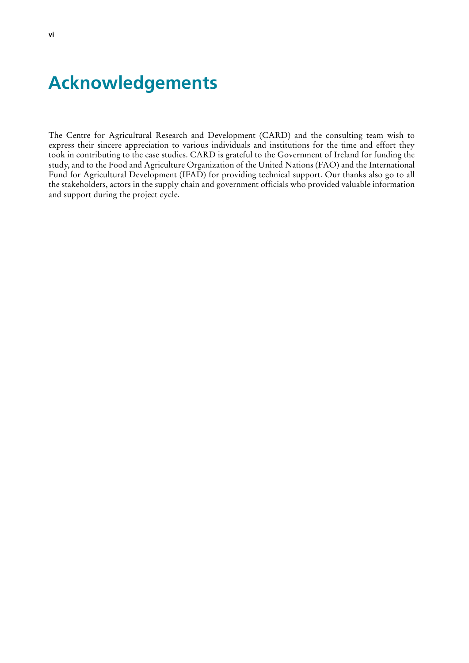## **Acknowledgements**

The Centre for Agricultural Research and Development (CARD) and the consulting team wish to express their sincere appreciation to various individuals and institutions for the time and effort they took in contributing to the case studies. CARD is grateful to the Government of Ireland for funding the study, and to the Food and Agriculture Organization of the United Nations (FAO) and the International Fund for Agricultural Development (IFAD) for providing technical support. Our thanks also go to all the stakeholders, actors in the supply chain and government officials who provided valuable information and support during the project cycle.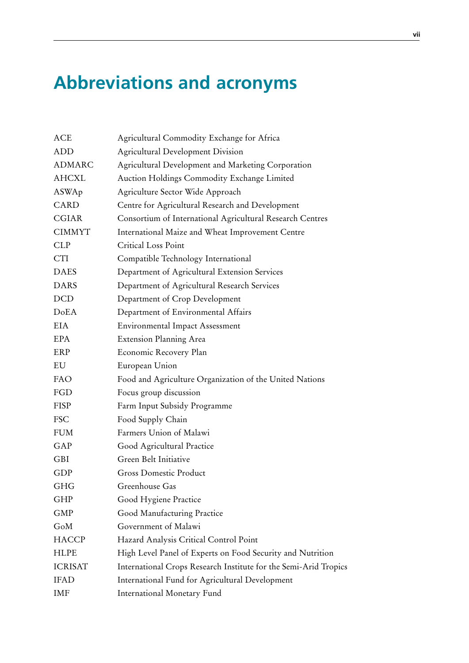# <span id="page-8-0"></span>**Abbreviations and acronyms**

| ACE            | Agricultural Commodity Exchange for Africa                       |
|----------------|------------------------------------------------------------------|
| ADD            | <b>Agricultural Development Division</b>                         |
| <b>ADMARC</b>  | Agricultural Development and Marketing Corporation               |
| <b>AHCXL</b>   | Auction Holdings Commodity Exchange Limited                      |
| ASWAp          | Agriculture Sector Wide Approach                                 |
| <b>CARD</b>    | Centre for Agricultural Research and Development                 |
| <b>CGIAR</b>   | Consortium of International Agricultural Research Centres        |
| <b>CIMMYT</b>  | International Maize and Wheat Improvement Centre                 |
| <b>CLP</b>     | Critical Loss Point                                              |
| <b>CTI</b>     | Compatible Technology International                              |
| <b>DAES</b>    | Department of Agricultural Extension Services                    |
| <b>DARS</b>    | Department of Agricultural Research Services                     |
| <b>DCD</b>     | Department of Crop Development                                   |
| DoEA           | Department of Environmental Affairs                              |
| <b>EIA</b>     | <b>Environmental Impact Assessment</b>                           |
| <b>EPA</b>     | <b>Extension Planning Area</b>                                   |
| ERP            | Economic Recovery Plan                                           |
| EU             | European Union                                                   |
| FAO            | Food and Agriculture Organization of the United Nations          |
| FGD            | Focus group discussion                                           |
| <b>FISP</b>    | Farm Input Subsidy Programme                                     |
| <b>FSC</b>     | Food Supply Chain                                                |
| <b>FUM</b>     | Farmers Union of Malawi                                          |
| GAP            | Good Agricultural Practice                                       |
| <b>GBI</b>     | Green Belt Initiative                                            |
| <b>GDP</b>     | <b>Gross Domestic Product</b>                                    |
| GHG            | Greenhouse Gas                                                   |
| GHP            | Good Hygiene Practice                                            |
| <b>GMP</b>     | Good Manufacturing Practice                                      |
| GoM            | Government of Malawi                                             |
| <b>HACCP</b>   | Hazard Analysis Critical Control Point                           |
| <b>HLPE</b>    | High Level Panel of Experts on Food Security and Nutrition       |
| <b>ICRISAT</b> | International Crops Research Institute for the Semi-Arid Tropics |
| <b>IFAD</b>    | International Fund for Agricultural Development                  |
| <b>IMF</b>     | International Monetary Fund                                      |
|                |                                                                  |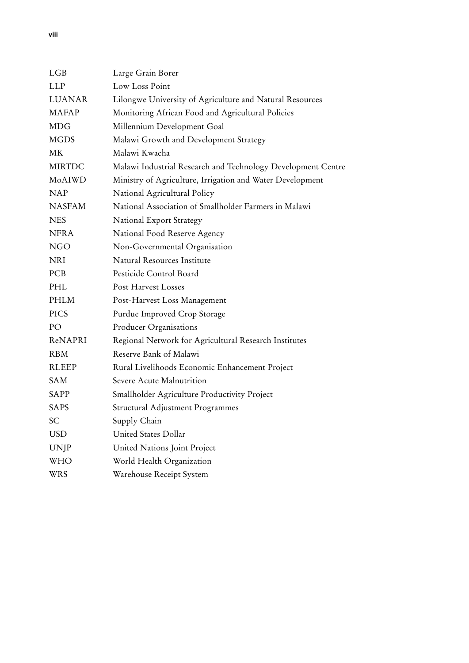<span id="page-9-0"></span>

| Large Grain Borer                                            |
|--------------------------------------------------------------|
| Low Loss Point                                               |
| Lilongwe University of Agriculture and Natural Resources     |
| Monitoring African Food and Agricultural Policies            |
| Millennium Development Goal                                  |
| Malawi Growth and Development Strategy                       |
| Malawi Kwacha                                                |
| Malawi Industrial Research and Technology Development Centre |
| Ministry of Agriculture, Irrigation and Water Development    |
| National Agricultural Policy                                 |
| National Association of Smallholder Farmers in Malawi        |
| National Export Strategy                                     |
| National Food Reserve Agency                                 |
| Non-Governmental Organisation                                |
| Natural Resources Institute                                  |
| Pesticide Control Board                                      |
| Post Harvest Losses                                          |
| Post-Harvest Loss Management                                 |
| Purdue Improved Crop Storage                                 |
| Producer Organisations                                       |
| Regional Network for Agricultural Research Institutes        |
| Reserve Bank of Malawi                                       |
| Rural Livelihoods Economic Enhancement Project               |
| Severe Acute Malnutrition                                    |
| Smallholder Agriculture Productivity Project                 |
| Structural Adjustment Programmes                             |
| Supply Chain                                                 |
| United States Dollar                                         |
| United Nations Joint Project                                 |
| World Health Organization                                    |
| Warehouse Receipt System                                     |
|                                                              |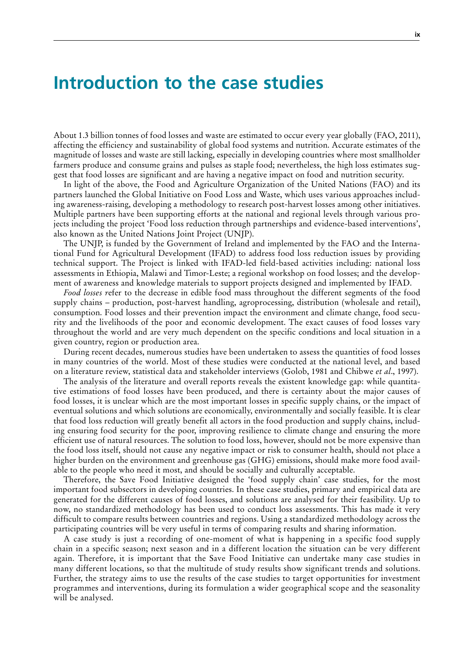## <span id="page-10-0"></span>**Introduction to the case studies**

About 1.3 billion tonnes of food losses and waste are estimated to occur every year globally (FAO, 2011), affecting the efficiency and sustainability of global food systems and nutrition. Accurate estimates of the magnitude of losses and waste are still lacking, especially in developing countries where most smallholder farmers produce and consume grains and pulses as staple food; nevertheless, the high loss estimates suggest that food losses are significant and are having a negative impact on food and nutrition security.

In light of the above, the Food and Agriculture Organization of the United Nations (FAO) and its partners launched the Global Initiative on Food Loss and Waste, which uses various approaches including awareness-raising, developing a methodology to research post-harvest losses among other initiatives. Multiple partners have been supporting efforts at the national and regional levels through various projects including the project 'Food loss reduction through partnerships and evidence-based interventions', also known as the United Nations Joint Project (UNJP).

The UNJP, is funded by the Government of Ireland and implemented by the FAO and the International Fund for Agricultural Development (IFAD) to address food loss reduction issues by providing technical support. The Project is linked with IFAD-led field-based activities including: national loss assessments in Ethiopia, Malawi and Timor-Leste; a regional workshop on food losses; and the development of awareness and knowledge materials to support projects designed and implemented by IFAD.

*Food losses r*efer to the decrease in edible food mass throughout the different segments of the food supply chains – production, post-harvest handling, agroprocessing, distribution (wholesale and retail), consumption. Food losses and their prevention impact the environment and climate change, food security and the livelihoods of the poor and economic development. The exact causes of food losses vary throughout the world and are very much dependent on the specific conditions and local situation in a given country, region or production area.

During recent decades, numerous studies have been undertaken to assess the quantities of food losses in many countries of the world. Most of these studies were conducted at the national level, and based on a literature review, statistical data and stakeholder interviews (Golob, 1981 and Chibwe *et al*., 1997).

The analysis of the literature and overall reports reveals the existent knowledge gap: while quantitative estimations of food losses have been produced, and there is certainty about the major causes of food losses, it is unclear which are the most important losses in specific supply chains, or the impact of eventual solutions and which solutions are economically, environmentally and socially feasible. It is clear that food loss reduction will greatly benefit all actors in the food production and supply chains, including ensuring food security for the poor, improving resilience to climate change and ensuring the more efficient use of natural resources. The solution to food loss, however, should not be more expensive than the food loss itself, should not cause any negative impact or risk to consumer health, should not place a higher burden on the environment and greenhouse gas (GHG) emissions, should make more food available to the people who need it most, and should be socially and culturally acceptable.

Therefore, the Save Food Initiative designed the 'food supply chain' case studies, for the most important food subsectors in developing countries. In these case studies, primary and empirical data are generated for the different causes of food losses, and solutions are analysed for their feasibility. Up to now, no standardized methodology has been used to conduct loss assessments. This has made it very difficult to compare results between countries and regions. Using a standardized methodology across the participating countries will be very useful in terms of comparing results and sharing information.

A case study is just a recording of one-moment of what is happening in a specific food supply chain in a specific season; next season and in a different location the situation can be very different again. Therefore, it is important that the Save Food Initiative can undertake many case studies in many different locations, so that the multitude of study results show significant trends and solutions. Further, the strategy aims to use the results of the case studies to target opportunities for investment programmes and interventions, during its formulation a wider geographical scope and the seasonality will be analysed.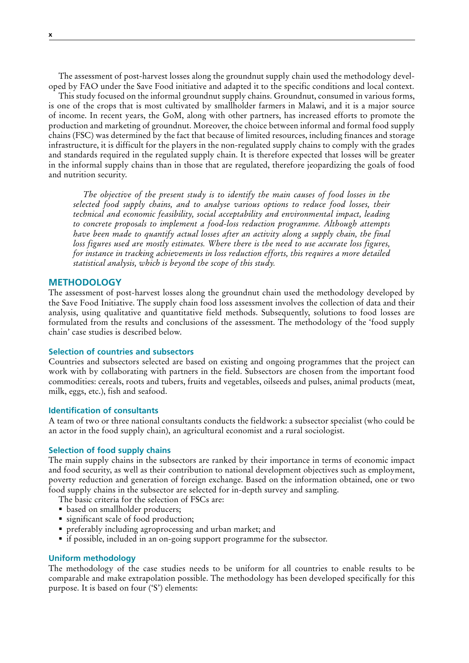The assessment of post-harvest losses along the groundnut supply chain used the methodology developed by FAO under the Save Food initiative and adapted it to the specific conditions and local context.

This study focused on the informal groundnut supply chains. Groundnut, consumed in various forms, is one of the crops that is most cultivated by smallholder farmers in Malawi, and it is a major source of income. In recent years, the GoM, along with other partners, has increased efforts to promote the production and marketing of groundnut. Moreover, the choice between informal and formal food supply chains (FSC) was determined by the fact that because of limited resources, including finances and storage infrastructure, it is difficult for the players in the non-regulated supply chains to comply with the grades and standards required in the regulated supply chain. It is therefore expected that losses will be greater in the informal supply chains than in those that are regulated, therefore jeopardizing the goals of food and nutrition security.

*The objective of the present study is to identify the main causes of food losses in the selected food supply chains, and to analyse various options to reduce food losses, their technical and economic feasibility, social acceptability and environmental impact, leading to concrete proposals to implement a food-loss reduction programme. Although attempts have been made to quantify actual losses after an activity along a supply chain, the final loss figures used are mostly estimates. Where there is the need to use accurate loss figures, for instance in tracking achievements in loss reduction efforts, this requires a more detailed statistical analysis, which is beyond the scope of this study.* 

#### **METHODOLOGY**

The assessment of post-harvest losses along the groundnut chain used the methodology developed by the Save Food Initiative. The supply chain food loss assessment involves the collection of data and their analysis, using qualitative and quantitative field methods. Subsequently, solutions to food losses are formulated from the results and conclusions of the assessment. The methodology of the 'food supply chain' case studies is described below.

## **Selection of countries and subsectors**

Countries and subsectors selected are based on existing and ongoing programmes that the project can work with by collaborating with partners in the field. Subsectors are chosen from the important food commodities: cereals, roots and tubers, fruits and vegetables, oilseeds and pulses, animal products (meat, milk, eggs, etc.), fish and seafood.

### **Identification of consultants**

A team of two or three national consultants conducts the fieldwork: a subsector specialist (who could be an actor in the food supply chain), an agricultural economist and a rural sociologist.

#### **Selection of food supply chains**

The main supply chains in the subsectors are ranked by their importance in terms of economic impact and food security, as well as their contribution to national development objectives such as employment, poverty reduction and generation of foreign exchange. Based on the information obtained, one or two food supply chains in the subsector are selected for in-depth survey and sampling.

- The basic criteria for the selection of FSCs are:
- based on smallholder producers;
- significant scale of food production;
- preferably including agroprocessing and urban market; and
- if possible, included in an on-going support programme for the subsector.

#### **Uniform methodology**

The methodology of the case studies needs to be uniform for all countries to enable results to be comparable and make extrapolation possible. The methodology has been developed specifically for this purpose. It is based on four ('S') elements: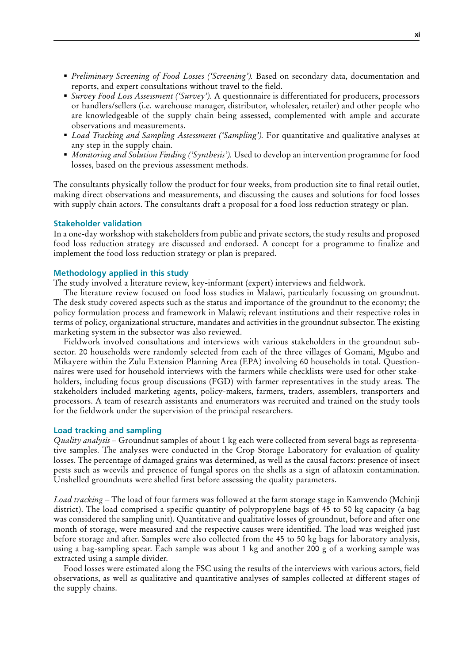- *Preliminary Screening of Food Losses ('Screening').* Based on secondary data, documentation and reports, and expert consultations without travel to the field.
- *Survey Food Loss Assessment ('Survey').* A questionnaire is differentiated for producers, processors or handlers/sellers (i.e. warehouse manager, distributor, wholesaler, retailer) and other people who are knowledgeable of the supply chain being assessed, complemented with ample and accurate observations and measurements.
- *Load Tracking and Sampling Assessment ('Sampling').* For quantitative and qualitative analyses at any step in the supply chain.
- *Monitoring and Solution Finding ('Synthesis').* Used to develop an intervention programme for food losses, based on the previous assessment methods.

The consultants physically follow the product for four weeks, from production site to final retail outlet, making direct observations and measurements, and discussing the causes and solutions for food losses with supply chain actors. The consultants draft a proposal for a food loss reduction strategy or plan.

## **Stakeholder validation**

In a one-day workshop with stakeholders from public and private sectors, the study results and proposed food loss reduction strategy are discussed and endorsed. A concept for a programme to finalize and implement the food loss reduction strategy or plan is prepared.

### **Methodology applied in this study**

The study involved a literature review, key-informant (expert) interviews and fieldwork.

The literature review focused on food loss studies in Malawi, particularly focussing on groundnut. The desk study covered aspects such as the status and importance of the groundnut to the economy; the policy formulation process and framework in Malawi; relevant institutions and their respective roles in terms of policy, organizational structure, mandates and activities in the groundnut subsector. The existing marketing system in the subsector was also reviewed.

Fieldwork involved consultations and interviews with various stakeholders in the groundnut subsector. 20 households were randomly selected from each of the three villages of Gomani, Mgubo and Mikayere within the Zulu Extension Planning Area (EPA) involving 60 households in total. Questionnaires were used for household interviews with the farmers while checklists were used for other stakeholders, including focus group discussions (FGD) with farmer representatives in the study areas. The stakeholders included marketing agents, policy-makers, farmers, traders, assemblers, transporters and processors. A team of research assistants and enumerators was recruited and trained on the study tools for the fieldwork under the supervision of the principal researchers.

## **Load tracking and sampling**

*Quality analysis* – Groundnut samples of about 1 kg each were collected from several bags as representative samples. The analyses were conducted in the Crop Storage Laboratory for evaluation of quality losses. The percentage of damaged grains was determined, as well as the causal factors: presence of insect pests such as weevils and presence of fungal spores on the shells as a sign of aflatoxin contamination. Unshelled groundnuts were shelled first before assessing the quality parameters.

*Load tracking* – The load of four farmers was followed at the farm storage stage in Kamwendo (Mchinji district). The load comprised a specific quantity of polypropylene bags of 45 to 50 kg capacity (a bag was considered the sampling unit). Quantitative and qualitative losses of groundnut, before and after one month of storage, were measured and the respective causes were identified. The load was weighed just before storage and after. Samples were also collected from the 45 to 50 kg bags for laboratory analysis, using a bag-sampling spear. Each sample was about 1 kg and another 200 g of a working sample was extracted using a sample divider.

Food losses were estimated along the FSC using the results of the interviews with various actors, field observations, as well as qualitative and quantitative analyses of samples collected at different stages of the supply chains.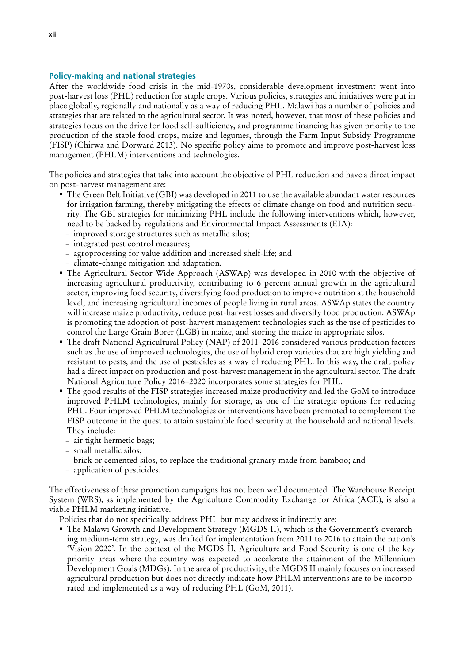## **Policy-making and national strategies**

After the worldwide food crisis in the mid-1970s, considerable development investment went into post-harvest loss (PHL) reduction for staple crops. Various policies, strategies and initiatives were put in place globally, regionally and nationally as a way of reducing PHL. Malawi has a number of policies and strategies that are related to the agricultural sector. It was noted, however, that most of these policies and strategies focus on the drive for food self-sufficiency, and programme financing has given priority to the production of the staple food crops, maize and legumes, through the Farm Input Subsidy Programme (FISP) (Chirwa and Dorward 2013). No specific policy aims to promote and improve post-harvest loss management (PHLM) interventions and technologies.

The policies and strategies that take into account the objective of PHL reduction and have a direct impact on post-harvest management are:

- The Green Belt Initiative (GBI) was developed in 2011 to use the available abundant water resources for irrigation farming, thereby mitigating the effects of climate change on food and nutrition security. The GBI strategies for minimizing PHL include the following interventions which, however, need to be backed by regulations and Environmental Impact Assessments (EIA):
	- improved storage structures such as metallic silos;
	- integrated pest control measures;
	- agroprocessing for value addition and increased shelf-life; and
	- climate-change mitigation and adaptation.
- The Agricultural Sector Wide Approach (ASWAp) was developed in 2010 with the objective of increasing agricultural productivity, contributing to 6 percent annual growth in the agricultural sector, improving food security, diversifying food production to improve nutrition at the household level, and increasing agricultural incomes of people living in rural areas. ASWAp states the country will increase maize productivity, reduce post-harvest losses and diversify food production. ASWAp is promoting the adoption of post-harvest management technologies such as the use of pesticides to control the Large Grain Borer (LGB) in maize, and storing the maize in appropriate silos.
- The draft National Agricultural Policy (NAP) of 2011–2016 considered various production factors such as the use of improved technologies, the use of hybrid crop varieties that are high yielding and resistant to pests, and the use of pesticides as a way of reducing PHL. In this way, the draft policy had a direct impact on production and post-harvest management in the agricultural sector. The draft National Agriculture Policy 2016–2020 incorporates some strategies for PHL.
- The good results of the FISP strategies increased maize productivity and led the GoM to introduce improved PHLM technologies, mainly for storage, as one of the strategic options for reducing PHL. Four improved PHLM technologies or interventions have been promoted to complement the FISP outcome in the quest to attain sustainable food security at the household and national levels. They include:
	- air tight hermetic bags;
	- small metallic silos;
	- brick or cemented silos, to replace the traditional granary made from bamboo; and
	- application of pesticides.

The effectiveness of these promotion campaigns has not been well documented. The Warehouse Receipt System (WRS), as implemented by the Agriculture Commodity Exchange for Africa (ACE), is also a viable PHLM marketing initiative.

Policies that do not specifically address PHL but may address it indirectly are:

 The Malawi Growth and Development Strategy (MGDS II), which is the Government's overarching medium-term strategy, was drafted for implementation from 2011 to 2016 to attain the nation's 'Vision 2020'. In the context of the MGDS II, Agriculture and Food Security is one of the key priority areas where the country was expected to accelerate the attainment of the Millennium Development Goals (MDGs). In the area of productivity, the MGDS II mainly focuses on increased agricultural production but does not directly indicate how PHLM interventions are to be incorporated and implemented as a way of reducing PHL (GoM, 2011).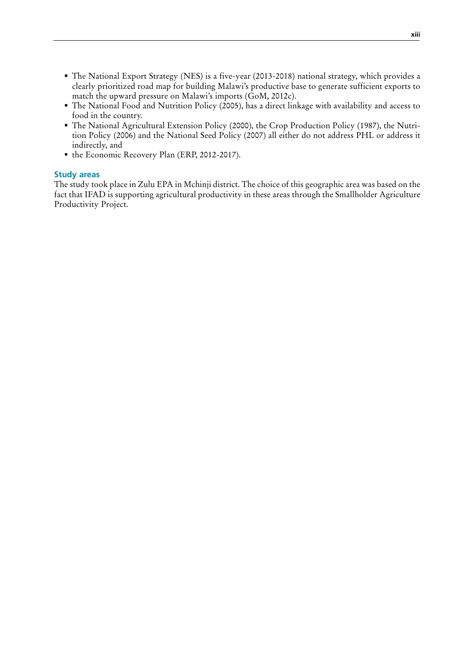- The National Export Strategy (NES) is a five-year (2013-2018) national strategy, which provides a clearly prioritized road map for building Malawi's productive base to generate sufficient exports to match the upward pressure on Malawi's imports (GoM, 2012c).
- The National Food and Nutrition Policy (2005), has a direct linkage with availability and access to food in the country.
- The National Agricultural Extension Policy (2000), the Crop Production Policy (1987), the Nutrition Policy (2006) and the National Seed Policy (2007) all either do not address PHL or address it indirectly, and
- the Economic Recovery Plan (ERP, 2012-2017).

## **Study areas**

The study took place in Zulu EPA in Mchinji district. The choice of this geographic area was based on the fact that IFAD is supporting agricultural productivity in these areas through the Smallholder Agriculture Productivity Project.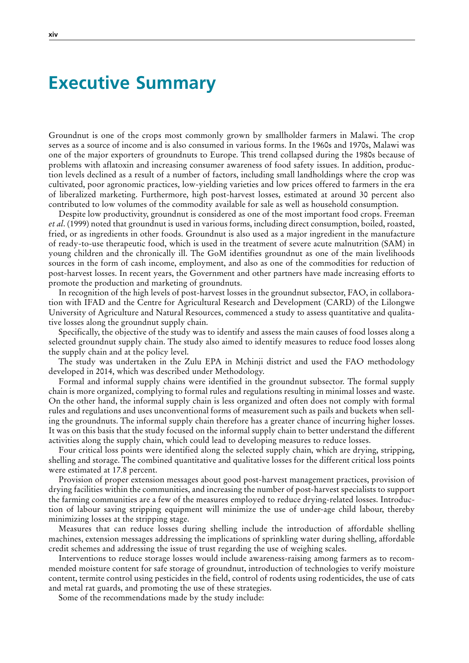## <span id="page-15-0"></span>**Executive Summary**

Groundnut is one of the crops most commonly grown by smallholder farmers in Malawi. The crop serves as a source of income and is also consumed in various forms. In the 1960s and 1970s, Malawi was one of the major exporters of groundnuts to Europe. This trend collapsed during the 1980s because of problems with aflatoxin and increasing consumer awareness of food safety issues. In addition, production levels declined as a result of a number of factors, including small landholdings where the crop was cultivated, poor agronomic practices, low-yielding varieties and low prices offered to farmers in the era of liberalized marketing. Furthermore, high post-harvest losses, estimated at around 30 percent also contributed to low volumes of the commodity available for sale as well as household consumption.

Despite low productivity, groundnut is considered as one of the most important food crops. Freeman *et al*. (1999) noted that groundnut is used in various forms, including direct consumption, boiled, roasted, fried, or as ingredients in other foods. Groundnut is also used as a major ingredient in the manufacture of ready-to-use therapeutic food, which is used in the treatment of severe acute malnutrition (SAM) in young children and the chronically ill. The GoM identifies groundnut as one of the main livelihoods sources in the form of cash income, employment, and also as one of the commodities for reduction of post-harvest losses. In recent years, the Government and other partners have made increasing efforts to promote the production and marketing of groundnuts.

In recognition of the high levels of post-harvest losses in the groundnut subsector, FAO, in collaboration with IFAD and the Centre for Agricultural Research and Development (CARD) of the Lilongwe University of Agriculture and Natural Resources, commenced a study to assess quantitative and qualitative losses along the groundnut supply chain.

Specifically, the objective of the study was to identify and assess the main causes of food losses along a selected groundnut supply chain. The study also aimed to identify measures to reduce food losses along the supply chain and at the policy level.

The study was undertaken in the Zulu EPA in Mchinji district and used the FAO methodology developed in 2014, which was described under Methodology.

Formal and informal supply chains were identified in the groundnut subsector. The formal supply chain is more organized, complying to formal rules and regulations resulting in minimal losses and waste. On the other hand, the informal supply chain is less organized and often does not comply with formal rules and regulations and uses unconventional forms of measurement such as pails and buckets when selling the groundnuts. The informal supply chain therefore has a greater chance of incurring higher losses. It was on this basis that the study focused on the informal supply chain to better understand the different activities along the supply chain, which could lead to developing measures to reduce losses.

Four critical loss points were identified along the selected supply chain, which are drying, stripping, shelling and storage. The combined quantitative and qualitative losses for the different critical loss points were estimated at 17.8 percent.

Provision of proper extension messages about good post-harvest management practices, provision of drying facilities within the communities, and increasing the number of post-harvest specialists to support the farming communities are a few of the measures employed to reduce drying-related losses. Introduction of labour saving stripping equipment will minimize the use of under-age child labour, thereby minimizing losses at the stripping stage.

Measures that can reduce losses during shelling include the introduction of affordable shelling machines, extension messages addressing the implications of sprinkling water during shelling, affordable credit schemes and addressing the issue of trust regarding the use of weighing scales.

Interventions to reduce storage losses would include awareness-raising among farmers as to recommended moisture content for safe storage of groundnut, introduction of technologies to verify moisture content, termite control using pesticides in the field, control of rodents using rodenticides, the use of cats and metal rat guards, and promoting the use of these strategies.

Some of the recommendations made by the study include: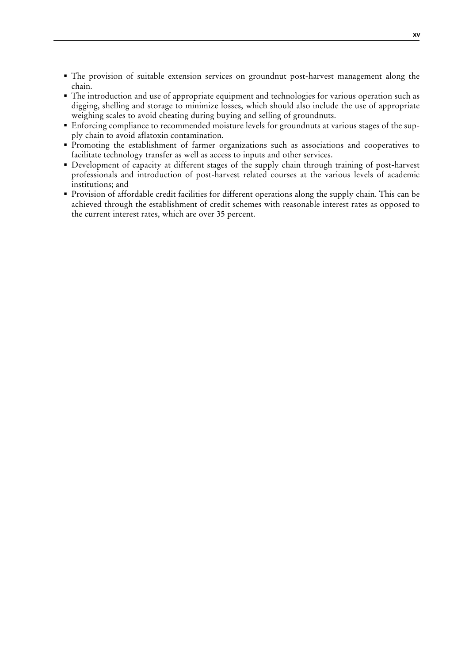- The provision of suitable extension services on groundnut post-harvest management along the chain.
- The introduction and use of appropriate equipment and technologies for various operation such as digging, shelling and storage to minimize losses, which should also include the use of appropriate weighing scales to avoid cheating during buying and selling of groundnuts.
- Enforcing compliance to recommended moisture levels for groundnuts at various stages of the supply chain to avoid aflatoxin contamination.
- Promoting the establishment of farmer organizations such as associations and cooperatives to facilitate technology transfer as well as access to inputs and other services.
- Development of capacity at different stages of the supply chain through training of post-harvest professionals and introduction of post-harvest related courses at the various levels of academic institutions; and
- Provision of affordable credit facilities for different operations along the supply chain. This can be achieved through the establishment of credit schemes with reasonable interest rates as opposed to the current interest rates, which are over 35 percent.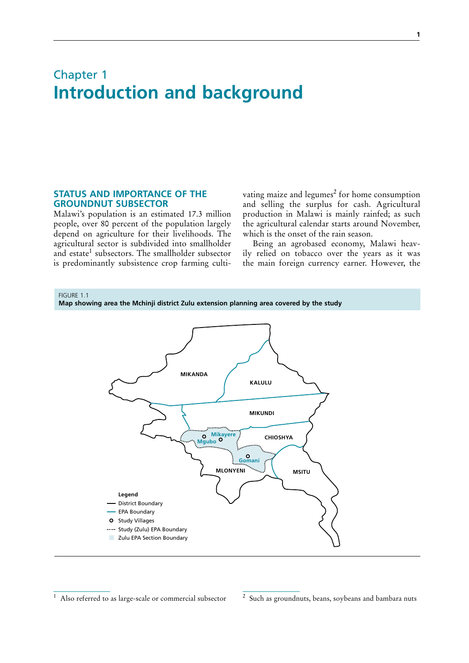## <span id="page-18-0"></span>Chapter 1 **Introduction and background**

## **STATUS AND IMPORTANCE OF THE GROUNDNUT SUBSECTOR**

Malawi's population is an estimated 17.3 million people, over 80 percent of the population largely depend on agriculture for their livelihoods. The agricultural sector is subdivided into smallholder and estate<sup>1</sup> subsectors. The smallholder subsector is predominantly subsistence crop farming culti-

vating maize and legumes<sup>2</sup> for home consumption and selling the surplus for cash. Agricultural production in Malawi is mainly rainfed; as such the agricultural calendar starts around November, which is the onset of the rain season.

Being an agrobased economy, Malawi heavily relied on tobacco over the years as it was the main foreign currency earner. However, the



Also referred to as large-scale or commercial subsector

<sup>2</sup> Such as groundnuts, beans, soybeans and bambara nuts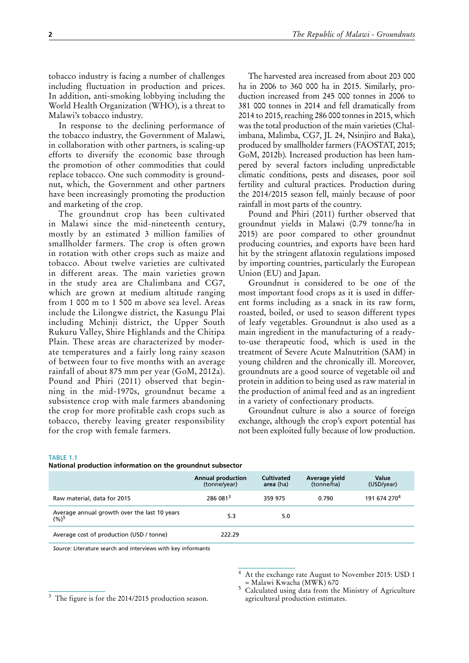<span id="page-19-0"></span>tobacco industry is facing a number of challenges including fluctuation in production and prices. In addition, anti-smoking lobbying including the World Health Organization (WHO), is a threat to Malawi's tobacco industry.

In response to the declining performance of the tobacco industry, the Government of Malawi, in collaboration with other partners, is scaling-up efforts to diversify the economic base through the promotion of other commodities that could replace tobacco. One such commodity is groundnut, which, the Government and other partners have been increasingly promoting the production and marketing of the crop.

The groundnut crop has been cultivated in Malawi since the mid-nineteenth century, mostly by an estimated 3 million families of smallholder farmers. The crop is often grown in rotation with other crops such as maize and tobacco. About twelve varieties are cultivated in different areas. The main varieties grown in the study area are Chalimbana and CG7, which are grown at medium altitude ranging from 1 000 m to 1 500 m above sea level. Areas include the Lilongwe district, the Kasungu Plai including Mchinji district, the Upper South Rukuru Valley, Shire Highlands and the Chitipa Plain. These areas are characterized by moderate temperatures and a fairly long rainy season of between four to five months with an average rainfall of about 875 mm per year (GoM, 2012a). Pound and Phiri (2011) observed that beginning in the mid-1970s, groundnut became a subsistence crop with male farmers abandoning the crop for more profitable cash crops such as tobacco, thereby leaving greater responsibility for the crop with female farmers.

The harvested area increased from about 203 000 ha in 2006 to 360 000 ha in 2015. Similarly, production increased from 245 000 tonnes in 2006 to 381 000 tonnes in 2014 and fell dramatically from 2014 to 2015, reaching 286 000 tonnes in 2015, which was the total production of the main varieties (Chalimbana, Malimba, CG7, JL 24, Nsinjiro and Baka), produced by smallholder farmers (FAOSTAT, 2015; GoM, 2012b). Increased production has been hampered by several factors including unpredictable climatic conditions, pests and diseases, poor soil fertility and cultural practices. Production during the 2014/2015 season fell, mainly because of poor rainfall in most parts of the country.

Pound and Phiri (2011) further observed that groundnut yields in Malawi (0.79 tonne/ha in 2015) are poor compared to other groundnut producing countries, and exports have been hard hit by the stringent aflatoxin regulations imposed by importing countries, particularly the European Union (EU) and Japan.

Groundnut is considered to be one of the most important food crops as it is used in different forms including as a snack in its raw form, roasted, boiled, or used to season different types of leafy vegetables. Groundnut is also used as a main ingredient in the manufacturing of a readyto-use therapeutic food, which is used in the treatment of Severe Acute Malnutrition (SAM) in young children and the chronically ill. Moreover, groundnuts are a good source of vegetable oil and protein in addition to being used as raw material in the production of animal feed and as an ingredient in a variety of confectionary products.

Groundnut culture is also a source of foreign exchange, although the crop's export potential has not been exploited fully because of low production.

#### TABLE 1.1

| National production information on the groundnut subsector |  |  |  |
|------------------------------------------------------------|--|--|--|
|------------------------------------------------------------|--|--|--|

|                                                       | <b>Annual production</b><br>(tonne/year) | <b>Cultivated</b><br>area (ha) | Average yield<br>(tonne/ha) | Value<br>(USD/year)      |
|-------------------------------------------------------|------------------------------------------|--------------------------------|-----------------------------|--------------------------|
| Raw material, data for 2015                           | 286 081 <sup>3</sup>                     | 359 975                        | 0.790                       | 191 674 270 <sup>4</sup> |
| Average annual growth over the last 10 years $(\%)^5$ | 5.3                                      | 5.0                            |                             |                          |
| Average cost of production (USD / tonne)              | 222.29                                   |                                |                             |                          |

*Source:* Literature search and interviews with key informants

At the exchange rate August to November 2015: USD 1<br>= Malawi Kwacha (MWK) 670

<sup>3</sup> The figure is for the 2014/2015 production season.

Calculated using data from the Ministry of Agriculture agricultural production estimates.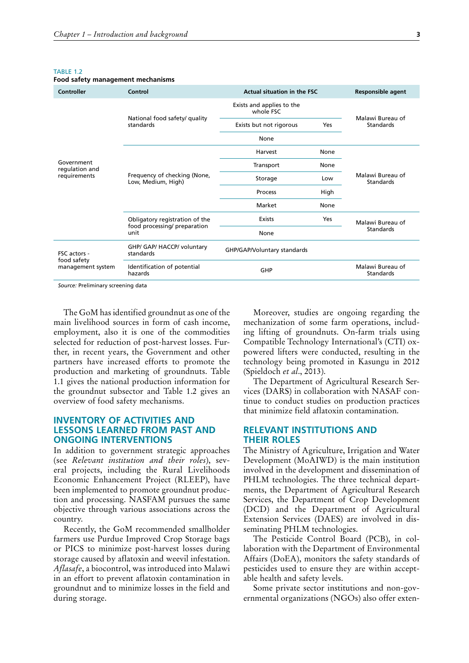#### <span id="page-20-0"></span>TARI F 1.2

| Controller                                         | Control                                    | <b>Actual situation in the FSC</b>     |      | <b>Responsible agent</b>      |
|----------------------------------------------------|--------------------------------------------|----------------------------------------|------|-------------------------------|
|                                                    |                                            | Exists and applies to the<br>whole FSC |      | Malawi Bureau of              |
|                                                    | National food safety/ quality<br>standards | Exists but not rigorous                | Yes  | <b>Standards</b>              |
|                                                    |                                            | None                                   |      |                               |
| Harvest<br>None<br>Government<br>Transport<br>None |                                            |                                        |      |                               |
| regulation and                                     |                                            |                                        |      |                               |
| requirements                                       | Low                                        | Malawi Bureau of<br>Standards          |      |                               |
|                                                    | Low, Medium, High)                         | Process                                | High |                               |
|                                                    |                                            | Market                                 | None |                               |
|                                                    | Obligatory registration of the             | Exists                                 | Yes  | Malawi Bureau of              |
|                                                    | food processing/ preparation<br>unit       | None                                   |      | Standards                     |
| FSC actors -                                       | GHP/ GAP/ HACCP/ voluntary<br>standards    | GHP/GAP/Voluntary standards            |      |                               |
| food safety<br>management system                   | Identification of potential<br>hazards     | GHP                                    |      | Malawi Bureau of<br>Standards |

#### **Food safety management mechanisms**

*Source:* Preliminary screening data

The GoM has identified groundnut as one of the main livelihood sources in form of cash income, employment, also it is one of the commodities selected for reduction of post-harvest losses. Further, in recent years, the Government and other partners have increased efforts to promote the production and marketing of groundnuts. Table 1.1 gives the national production information for the groundnut subsector and Table 1.2 gives an overview of food safety mechanisms.

## **INVENTORY OF ACTIVITIES AND LESSONS LEARNED FROM PAST AND ONGOING INTERVENTIONS**

In addition to government strategic approaches (see *Relevant institution and their roles*), several projects, including the Rural Livelihoods Economic Enhancement Project (RLEEP), have been implemented to promote groundnut production and processing. NASFAM pursues the same objective through various associations across the country.

Recently, the GoM recommended smallholder farmers use Purdue Improved Crop Storage bags or PICS to minimize post-harvest losses during storage caused by aflatoxin and weevil infestation. *Aflasafe*, a biocontrol, was introduced into Malawi in an effort to prevent aflatoxin contamination in groundnut and to minimize losses in the field and during storage.

Moreover, studies are ongoing regarding the mechanization of some farm operations, including lifting of groundnuts. On-farm trials using Compatible Technology International's (CTI) oxpowered lifters were conducted, resulting in the technology being promoted in Kasungu in 2012 (Spieldoch *et al*., 2013).

The Department of Agricultural Research Services (DARS) in collaboration with NASAF continue to conduct studies on production practices that minimize field aflatoxin contamination.

## **RELEVANT INSTITUTIONS AND THEIR ROLES**

The Ministry of Agriculture, Irrigation and Water Development (MoAIWD) is the main institution involved in the development and dissemination of PHLM technologies. The three technical departments, the Department of Agricultural Research Services, the Department of Crop Development (DCD) and the Department of Agricultural Extension Services (DAES) are involved in disseminating PHLM technologies.

The Pesticide Control Board (PCB), in collaboration with the Department of Environmental Affairs (DoEA), monitors the safety standards of pesticides used to ensure they are within acceptable health and safety levels.

Some private sector institutions and non-governmental organizations (NGOs) also offer exten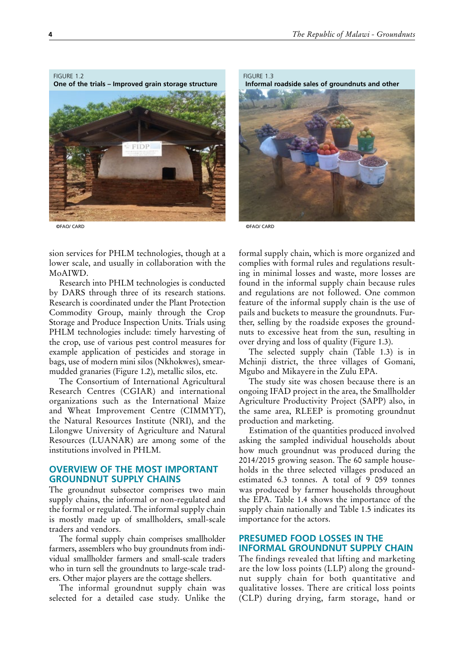<span id="page-21-0"></span>FIGURE 1.2

**One of the trials – Improved grain storage structure**



©FAO/ CARD

FIGURE 1.3  **Informal roadside sales of groundnuts and other** 



©FAO/ CARD

sion services for PHLM technologies, though at a lower scale, and usually in collaboration with the MoAIWD.

Research into PHLM technologies is conducted by DARS through three of its research stations. Research is coordinated under the Plant Protection Commodity Group, mainly through the Crop Storage and Produce Inspection Units. Trials using PHLM technologies include: timely harvesting of the crop, use of various pest control measures for example application of pesticides and storage in bags, use of modern mini silos (Nkhokwes), smearmudded granaries (Figure 1.2), metallic silos, etc.

The Consortium of International Agricultural Research Centres (CGIAR) and international organizations such as the International Maize and Wheat Improvement Centre (CIMMYT), the Natural Resources Institute (NRI), and the Lilongwe University of Agriculture and Natural Resources (LUANAR) are among some of the institutions involved in PHLM.

## **OVERVIEW OF THE MOST IMPORTANT GROUNDNUT SUPPLY CHAINS**

The groundnut subsector comprises two main supply chains, the informal or non-regulated and the formal or regulated. The informal supply chain is mostly made up of smallholders, small-scale traders and vendors.

The formal supply chain comprises smallholder farmers, assemblers who buy groundnuts from individual smallholder farmers and small-scale traders who in turn sell the groundnuts to large-scale traders. Other major players are the cottage shellers.

The informal groundnut supply chain was selected for a detailed case study. Unlike the

formal supply chain, which is more organized and complies with formal rules and regulations resulting in minimal losses and waste, more losses are found in the informal supply chain because rules and regulations are not followed. One common feature of the informal supply chain is the use of pails and buckets to measure the groundnuts. Further, selling by the roadside exposes the groundnuts to excessive heat from the sun, resulting in over drying and loss of quality (Figure 1.3).

The selected supply chain (Table 1.3) is in Mchinji district, the three villages of Gomani, Mgubo and Mikayere in the Zulu EPA.

The study site was chosen because there is an ongoing IFAD project in the area, the Smallholder Agriculture Productivity Project (SAPP) also, in the same area, RLEEP is promoting groundnut production and marketing.

Estimation of the quantities produced involved asking the sampled individual households about how much groundnut was produced during the 2014/2015 growing season. The 60 sample households in the three selected villages produced an estimated 6.3 tonnes. A total of  $9.059$  tonnes was produced by farmer households throughout the EPA. Table 1.4 shows the importance of the supply chain nationally and Table 1.5 indicates its importance for the actors.

## **PRESUMED FOOD LOSSES IN THE INFORMAL GROUNDNUT SUPPLY CHAIN**

The findings revealed that lifting and marketing are the low loss points (LLP) along the groundnut supply chain for both quantitative and qualitative losses. There are critical loss points (CLP) during drying, farm storage, hand or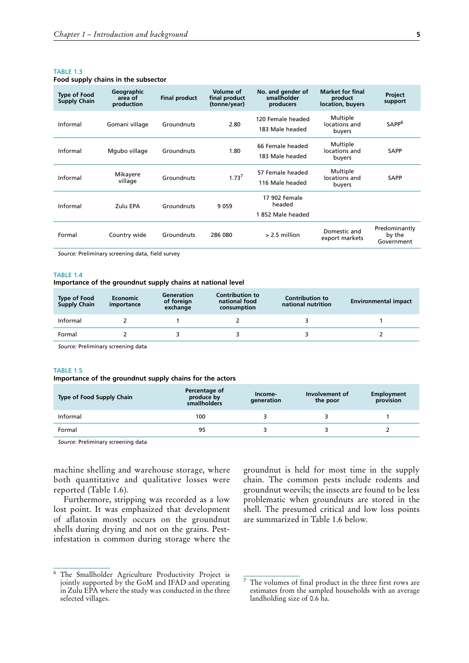#### <span id="page-22-0"></span>TARIF<sub>13</sub>

#### **Food supply chains in the subsector**

| <b>Type of Food</b><br><b>Supply Chain</b> | Geographic<br>area of<br>production | <b>Final product</b> | Volume of<br>final product<br>(tonne/year) | No. and gender of<br>smallholder<br>producers | <b>Market for final</b><br>product<br>location, buyers | Project<br>support                    |
|--------------------------------------------|-------------------------------------|----------------------|--------------------------------------------|-----------------------------------------------|--------------------------------------------------------|---------------------------------------|
| Informal                                   | Gomani village                      | Groundnuts           | 2.80                                       | 120 Female headed<br>183 Male headed          | Multiple<br>locations and<br>buyers                    | SAPP <sup>6</sup>                     |
| Informal                                   | Mgubo village                       | Groundnuts           | 1.80                                       | 66 Female headed<br>183 Male headed           | Multiple<br>locations and<br>buyers                    | <b>SAPP</b>                           |
| Informal                                   | Mikayere<br>village                 | Groundnuts           | 1.73 <sup>7</sup>                          | 57 Female headed<br>116 Male headed           | Multiple<br>locations and<br>buyers                    | <b>SAPP</b>                           |
| Informal                                   | Zulu EPA                            | Groundnuts           | 9059                                       | 17 902 Female<br>headed                       |                                                        |                                       |
|                                            |                                     |                      |                                            | 1852 Male headed                              |                                                        |                                       |
| Formal                                     | Country wide                        | Groundnuts           | 286 080                                    | $> 2.5$ million                               | Domestic and<br>export markets                         | Predominantly<br>by the<br>Government |

*Source:* Preliminary screening data, field survey

#### TARI F 14

#### **Importance of the groundnut supply chains at national level**

| <b>Type of Food</b><br><b>Supply Chain</b> | <b>Economic</b><br>importance | <b>Generation</b><br>of foreign<br>exchange | <b>Contribution to</b><br>national food<br>consumption | <b>Contribution to</b><br>national nutrition | <b>Environmental impact</b> |
|--------------------------------------------|-------------------------------|---------------------------------------------|--------------------------------------------------------|----------------------------------------------|-----------------------------|
| Informal                                   |                               |                                             |                                                        |                                              |                             |
| Formal                                     |                               |                                             |                                                        |                                              |                             |

*Source:* Preliminary screening data

#### TABLE 1.5

#### **Importance of the groundnut supply chains for the actors**

| <b>Type of Food Supply Chain</b> | Percentage of<br>produce by<br>smallholders | Income-<br>generation | Involvement of<br>the poor | Employment<br>provision |
|----------------------------------|---------------------------------------------|-----------------------|----------------------------|-------------------------|
| Informal                         | 100                                         |                       |                            |                         |
| Formal                           | 95                                          |                       |                            |                         |

*Source:* Preliminary screening data

machine shelling and warehouse storage, where both quantitative and qualitative losses were reported (Table 1.6).

Furthermore, stripping was recorded as a low lost point. It was emphasized that development of aflatoxin mostly occurs on the groundnut shells during drying and not on the grains. Pestinfestation is common during storage where the

<sup>6</sup> The Smallholder Agriculture Productivity Project is jointly supported by the GoM and IFAD and operating in Zulu EPA where the study was conducted in the three selected villages.

groundnut is held for most time in the supply chain. The common pests include rodents and groundnut weevils; the insects are found to be less problematic when groundnuts are stored in the shell. The presumed critical and low loss points are summarized in Table 1.6 below.

The volumes of final product in the three first rows are estimates from the sampled households with an average landholding size of 0.6 ha.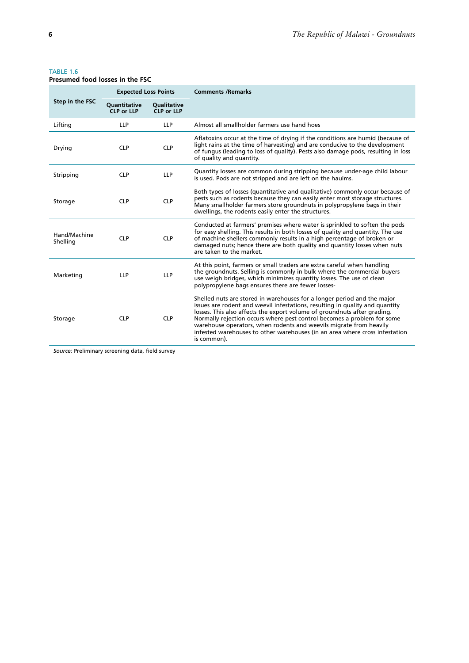### TABLE 1.6

| Presumed food losses in the FSC |                                   |                                         |                                                                                                                                                                                                                                                                                                                                                                                                                                                                                    |
|---------------------------------|-----------------------------------|-----------------------------------------|------------------------------------------------------------------------------------------------------------------------------------------------------------------------------------------------------------------------------------------------------------------------------------------------------------------------------------------------------------------------------------------------------------------------------------------------------------------------------------|
|                                 | <b>Expected Loss Points</b>       |                                         | <b>Comments / Remarks</b>                                                                                                                                                                                                                                                                                                                                                                                                                                                          |
| Step in the FSC                 | Quantitative<br><b>CLP or LLP</b> | <b>Oualitative</b><br><b>CLP or LLP</b> |                                                                                                                                                                                                                                                                                                                                                                                                                                                                                    |
| Lifting                         | LLP                               | <b>LLP</b>                              | Almost all smallholder farmers use hand hoes                                                                                                                                                                                                                                                                                                                                                                                                                                       |
| Drying                          | <b>CLP</b>                        | <b>CLP</b>                              | Aflatoxins occur at the time of drying if the conditions are humid (because of<br>light rains at the time of harvesting) and are conducive to the development<br>of fungus (leading to loss of quality). Pests also damage pods, resulting in loss<br>of quality and quantity.                                                                                                                                                                                                     |
| Stripping                       | <b>CLP</b>                        | <b>LLP</b>                              | Quantity losses are common during stripping because under-age child labour<br>is used. Pods are not stripped and are left on the haulms.                                                                                                                                                                                                                                                                                                                                           |
| Storage                         | <b>CLP</b>                        | <b>CLP</b>                              | Both types of losses (quantitative and qualitative) commonly occur because of<br>pests such as rodents because they can easily enter most storage structures.<br>Many smallholder farmers store groundnuts in polypropylene bags in their<br>dwellings, the rodents easily enter the structures.                                                                                                                                                                                   |
| Hand/Machine<br>Shelling        | <b>CLP</b>                        | <b>CLP</b>                              | Conducted at farmers' premises where water is sprinkled to soften the pods<br>for easy shelling. This results in both losses of quality and quantity. The use<br>of machine shellers commonly results in a high percentage of broken or<br>damaged nuts; hence there are both quality and quantity losses when nuts<br>are taken to the market.                                                                                                                                    |
| Marketing                       | <b>LLP</b>                        | <b>LLP</b>                              | At this point, farmers or small traders are extra careful when handling<br>the groundnuts. Selling is commonly in bulk where the commercial buyers<br>use weigh bridges, which minimizes quantity losses. The use of clean<br>polypropylene bags ensures there are fewer losses-                                                                                                                                                                                                   |
| Storage                         | <b>CLP</b>                        | <b>CLP</b>                              | Shelled nuts are stored in warehouses for a longer period and the major<br>issues are rodent and weevil infestations, resulting in quality and quantity<br>losses. This also affects the export volume of groundnuts after grading.<br>Normally rejection occurs where pest control becomes a problem for some<br>warehouse operators, when rodents and weevils migrate from heavily<br>infested warehouses to other warehouses (in an area where cross infestation<br>is common). |

*Source:* Preliminary screening data, field survey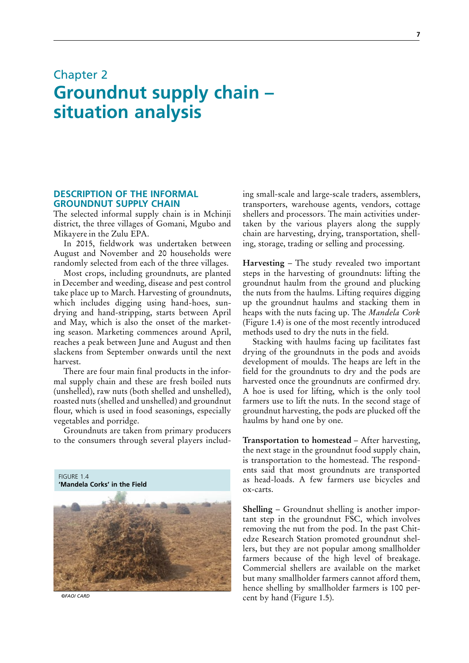## <span id="page-24-0"></span>Chapter 2 **Groundnut supply chain – situation analysis**

## **DESCRIPTION OF THE INFORMAL GROUNDNUT SUPPLY CHAIN**

The selected informal supply chain is in Mchinji district, the three villages of Gomani, Mgubo and Mikayere in the Zulu EPA.

In 2015, fieldwork was undertaken between August and November and 20 households were randomly selected from each of the three villages.

Most crops, including groundnuts, are planted in December and weeding, disease and pest control take place up to March. Harvesting of groundnuts, which includes digging using hand-hoes, sundrying and hand-stripping, starts between April and May, which is also the onset of the marketing season. Marketing commences around April, reaches a peak between June and August and then slackens from September onwards until the next harvest.

There are four main final products in the informal supply chain and these are fresh boiled nuts (unshelled), raw nuts (both shelled and unshelled), roasted nuts (shelled and unshelled) and groundnut flour, which is used in food seasonings, especially vegetables and porridge.

Groundnuts are taken from primary producers to the consumers through several players includ-



*©FAO/ CARD*

ing small-scale and large-scale traders, assemblers, transporters, warehouse agents, vendors, cottage shellers and processors. The main activities undertaken by the various players along the supply chain are harvesting, drying, transportation, shelling, storage, trading or selling and processing.

Harvesting – The study revealed two important steps in the harvesting of groundnuts: lifting the groundnut haulm from the ground and plucking the nuts from the haulms. Lifting requires digging up the groundnut haulms and stacking them in heaps with the nuts facing up. The *Mandela Cork* (Figure 1.4) is one of the most recently introduced methods used to dry the nuts in the field.

Stacking with haulms facing up facilitates fast drying of the groundnuts in the pods and avoids development of moulds. The heaps are left in the field for the groundnuts to dry and the pods are harvested once the groundnuts are confirmed dry. A hoe is used for lifting, which is the only tool farmers use to lift the nuts. In the second stage of groundnut harvesting, the pods are plucked off the haulms by hand one by one.

**Transportation to homestead** – After harvesting, the next stage in the groundnut food supply chain, is transportation to the homestead. The respondents said that most groundnuts are transported as head-loads. A few farmers use bicycles and ox-carts.

**Shelling – Groundnut shelling is another impor**tant step in the groundnut FSC, which involves removing the nut from the pod. In the past Chitedze Research Station promoted groundnut shellers, but they are not popular among smallholder farmers because of the high level of breakage. Commercial shellers are available on the market but many smallholder farmers cannot afford them, hence shelling by smallholder farmers is 100 percent by hand (Figure 1.5).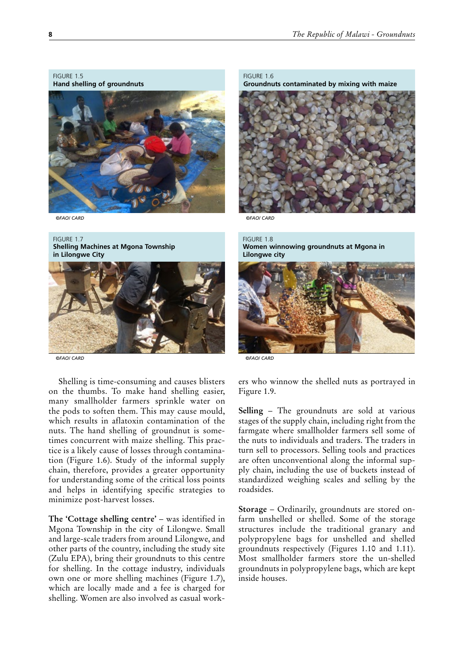#### <span id="page-25-0"></span>FIGURE 1.5 **Hand shelling of groundnuts**



*©FAO/ CARD*

#### FIGURE 1.7 **Shelling Machines at Mgona Township in Lilongwe City**



*©FAO/ CARD*

Shelling is time-consuming and causes blisters on the thumbs. To make hand shelling easier, many smallholder farmers sprinkle water on the pods to soften them. This may cause mould, which results in aflatoxin contamination of the nuts. The hand shelling of groundnut is sometimes concurrent with maize shelling. This practice is a likely cause of losses through contamination (Figure 1.6). Study of the informal supply chain, therefore, provides a greater opportunity for understanding some of the critical loss points and helps in identifying specific strategies to minimize post-harvest losses.

**The 'Cottage shelling centre'** – was identified in Mgona Township in the city of Lilongwe. Small and large-scale traders from around Lilongwe, and other parts of the country, including the study site (Zulu EPA), bring their groundnuts to this centre for shelling. In the cottage industry, individuals own one or more shelling machines (Figure 1.7), which are locally made and a fee is charged for shelling. Women are also involved as casual workFIGURE 1.6 **Groundnuts contaminated by mixing with maize**



*©FAO/ CARD*

#### FIGURE 1.8 **Women winnowing groundnuts at Mgona in Lilongwe city**



*©FAO/ CARD*

ers who winnow the shelled nuts as portrayed in Figure 1.9.

**Selling** – The groundnuts are sold at various stages of the supply chain, including right from the farmgate where smallholder farmers sell some of the nuts to individuals and traders. The traders in turn sell to processors. Selling tools and practices are often unconventional along the informal supply chain, including the use of buckets instead of standardized weighing scales and selling by the roadsides.

**Storage** – Ordinarily, groundnuts are stored onfarm unshelled or shelled. Some of the storage structures include the traditional granary and polypropylene bags for unshelled and shelled groundnuts respectively (Figures 1.10 and 1.11). Most smallholder farmers store the un-shelled groundnuts in polypropylene bags, which are kept inside houses.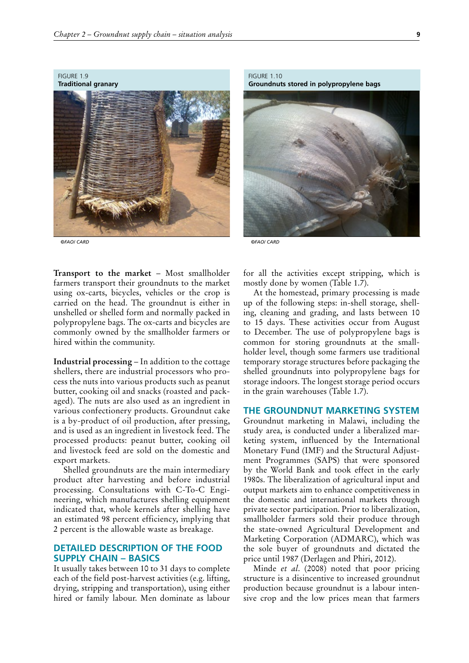<span id="page-26-0"></span>FIGURE 1.9 **Traditional granary**



*©FAO/ CARD*

**Transport to the market** – Most smallholder farmers transport their groundnuts to the market using ox-carts, bicycles, vehicles or the crop is carried on the head. The groundnut is either in unshelled or shelled form and normally packed in polypropylene bags. The ox-carts and bicycles are commonly owned by the smallholder farmers or hired within the community.

**Industrial processing** – In addition to the cottage shellers, there are industrial processors who process the nuts into various products such as peanut butter, cooking oil and snacks (roasted and packaged). The nuts are also used as an ingredient in various confectionery products. Groundnut cake is a by-product of oil production, after pressing, and is used as an ingredient in livestock feed. The processed products: peanut butter, cooking oil and livestock feed are sold on the domestic and export markets.

Shelled groundnuts are the main intermediary product after harvesting and before industrial processing. Consultations with C-To-C Engineering, which manufactures shelling equipment indicated that, whole kernels after shelling have an estimated 98 percent efficiency, implying that 2 percent is the allowable waste as breakage.

## **DETAILED DESCRIPTION OF THE FOOD SUPPLY CHAIN – BASICS**

It usually takes between 10 to 31 days to complete each of the field post-harvest activities (e.g. lifting, drying, stripping and transportation), using either hired or family labour. Men dominate as labour

FIGURE 1.10 **Groundnuts stored in polypropylene bags**



*©FAO/ CARD*

for all the activities except stripping, which is mostly done by women (Table 1.7).

At the homestead, primary processing is made up of the following steps: in-shell storage, shelling, cleaning and grading, and lasts between 10 to 15 days. These activities occur from August to December. The use of polypropylene bags is common for storing groundnuts at the smallholder level, though some farmers use traditional temporary storage structures before packaging the shelled groundnuts into polypropylene bags for storage indoors. The longest storage period occurs in the grain warehouses (Table 1.7).

## **THE GROUNDNUT MARKETING SYSTEM**

Groundnut marketing in Malawi, including the study area, is conducted under a liberalized marketing system, influenced by the International Monetary Fund (IMF) and the Structural Adjustment Programmes (SAPS) that were sponsored by the World Bank and took effect in the early 1980s. The liberalization of agricultural input and output markets aim to enhance competitiveness in the domestic and international markets through private sector participation. Prior to liberalization, smallholder farmers sold their produce through the state-owned Agricultural Development and Marketing Corporation (ADMARC), which was the sole buyer of groundnuts and dictated the price until 1987 (Derlagen and Phiri, 2012).

Minde *et al*. (2008) noted that poor pricing structure is a disincentive to increased groundnut production because groundnut is a labour intensive crop and the low prices mean that farmers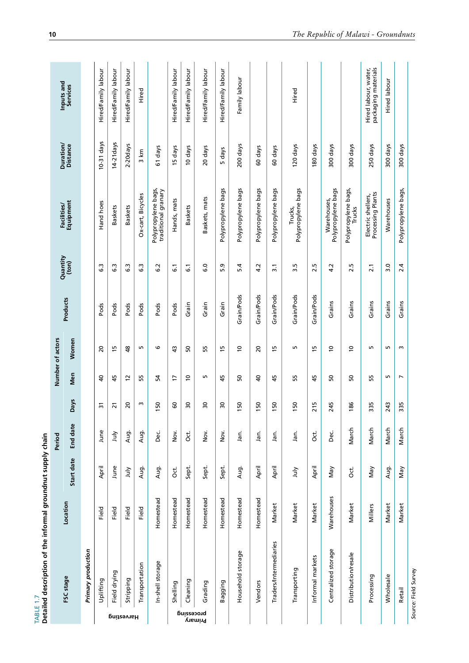<span id="page-27-0"></span>

|                     | Detailed description of the informal groundnut supply chain<br>TABLE 1.7 |            |            |          |                               |                |                         |            |                   |                                            |                       |                                             |
|---------------------|--------------------------------------------------------------------------|------------|------------|----------|-------------------------------|----------------|-------------------------|------------|-------------------|--------------------------------------------|-----------------------|---------------------------------------------|
|                     | FSC stage                                                                | Location   |            | Period   |                               |                | Number of actors        | Products   | Quantity<br>(ton) | Facilities/<br>Equipment                   | Duration/<br>Distance | Inputs and<br>Services                      |
|                     |                                                                          |            | Start date | End date | <b>Days</b>                   | Men            | Women                   |            |                   |                                            |                       |                                             |
|                     | Primary production                                                       |            |            |          |                               |                |                         |            |                   |                                            |                       |                                             |
|                     | Uplifting                                                                | Field      | April      | June     | $\overline{3}$                | $\overline{a}$ | $\overline{\mathbf{c}}$ | Pods       | C.3               | Hand hoes                                  | $10-31$ days          | Hired/Family labour                         |
|                     | Field drying                                                             | Field      | June       | ληr      | $\overline{21}$               | 45             | 15                      | Pods       | යි                | <b>Baskets</b>                             | 14-21 days            | Hired/Family labour                         |
| Harvesting          | Stripping                                                                | Field      | July       | Aug.     | $\overline{c}$                | $\overline{c}$ | \$                      | Pods       | 6.3               | <b>Baskets</b>                             | 2-20days              | Hired/Family labour                         |
|                     | Transportation                                                           | Field      | Aug.       | Aug.     | ω                             | 55             | m,                      | Pods       | C.3               | Ox-cart, Bicycles                          | 3 km                  | Hired                                       |
|                     | In-shell storage                                                         | Homestead  | Aug.       | ن<br>گ   | S                             | 54             | G                       | Pods       | 6.2               | Polypropylene bags,<br>traditional granary | 61 days               |                                             |
|                     | Shelling                                                                 | Homestead  | Ō.         | Nov.     | 60                            | $\overline{1}$ | $\frac{3}{4}$           | Pods       | $\overline{6}$    | Hands, mats                                | 15 days               | Hired/Family labour                         |
| processing          | Cleaning                                                                 | Homestead  | Sept.      | ð.       | $\overline{\mathbf{50}}$      | $\tilde{c}$    | 50                      | Grain      | 5                 | <b>Baskets</b>                             | 10 days               | Hired/Family labour                         |
| ynamiy <sup>q</sup> | Grading                                                                  | Homestead  | Sept.      | Nov.     | $\overline{30}$               | LO.            | 55                      | Grain      | $\overline{6}$ .0 | Baskets, mats                              | 20 days               | Hired/Family labour                         |
|                     | Bagging                                                                  | Homestead  | Sept.      | Nov.     | $\overline{30}$               | 45             | $\frac{15}{2}$          | Grain      | 5.9               | Polypropylene bags                         | days<br>LO.           | Hired/Family labour                         |
|                     | Household storage                                                        | Homestead  | Aug.       | jan.     | S<br>$\overline{\phantom{0}}$ | SO             | $\tilde{c}$             | Grain/Pods | 5.4               | Polypropylene bags                         | 200 days              | Family labour                               |
|                     | Vendors                                                                  | Homestead  | April      | Jan.     | 50                            | $\overline{a}$ | $\overline{c}$          | Grain/Pods | 4.2               | Polypropylene bags                         | 60 days               |                                             |
|                     | Traders/Intermediaries                                                   | Market     | April      | Jan.     | 150                           | 45             | $\frac{15}{2}$          | Grain/Pods | $\overline{3}$ .1 | Polypropylene bags                         | 60 days               |                                             |
|                     | Transporting                                                             | Market     | yinr       | Jan.     | 150                           | 55             | Б                       | Grain/Pods | 3.5               | Polypropylene bags<br>Trucks,              | 120 days              | Hired                                       |
|                     | Informal markets                                                         | Market     | April      | Ōct.     | m<br>$\overline{21}$          | 45             | 5                       | Grain/Pods | 2.5               |                                            | 80 days               |                                             |
|                     | Centralized storage                                                      | Warehouses | VeN        | ن<br>گ   | 245                           | 50             | $\overline{c}$          | Grains     | 4.2               | Polypropylene bags<br>Warehouses,          | 300 days              |                                             |
|                     | Distribution/resale                                                      | Market     | ರ.<br>೦    | March    | 186                           | SO,            | $\overline{c}$          | Grains     | 2.5               | Polypropylene bags,<br>Trucks              | 300 days              |                                             |
|                     | Processing                                                               | Millers    | Vay        | March    | 335                           | 55             | m,                      | Grains     | $\overline{2.1}$  | Processing Plants<br>Electric shellers,    | 250 days              | Hired labour, water,<br>packaging materials |
|                     | Wholesale                                                                | Market     | Aug.       | March    | 243                           | LO.            | Б                       | Grains     | 3.0               | Warehouses                                 | 300 days              | <b>Hired</b> labour                         |
|                     | Retail                                                                   | Market     | Vay        | March    | 335                           | $\overline{ }$ | $\mathsf{m}$            | Grains     | 2.4               | Polypropylene bags,                        | 300 days              |                                             |
|                     | Source: Field Survey                                                     |            |            |          |                               |                |                         |            |                   |                                            |                       |                                             |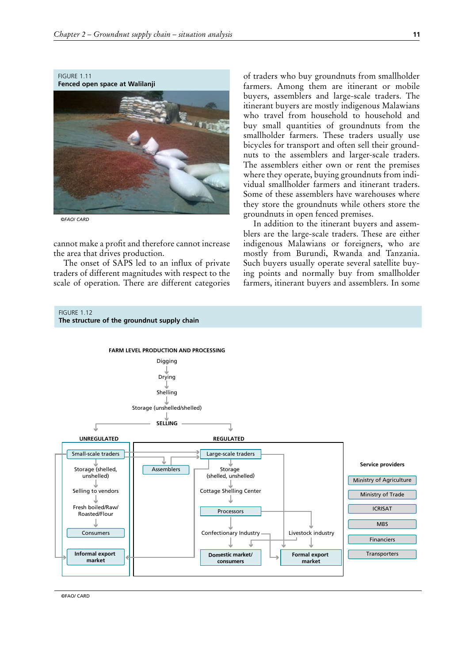<span id="page-28-0"></span>

*©FAO/ CARD*

cannot make a profit and therefore cannot increase the area that drives production.

The onset of SAPS led to an influx of private traders of different magnitudes with respect to the scale of operation. There are different categories

of traders who buy groundnuts from smallholder farmers. Among them are itinerant or mobile buyers, assemblers and large-scale traders. The itinerant buyers are mostly indigenous Malawians who travel from household to household and buy small quantities of groundnuts from the smallholder farmers. These traders usually use bicycles for transport and often sell their groundnuts to the assemblers and larger-scale traders. The assemblers either own or rent the premises where they operate, buying groundnuts from individual smallholder farmers and itinerant traders. Some of these assemblers have warehouses where they store the groundnuts while others store the groundnuts in open fenced premises.

In addition to the itinerant buyers and assemblers are the large-scale traders. These are either indigenous Malawians or foreigners, who are mostly from Burundi, Rwanda and Tanzania. Such buyers usually operate several satellite buying points and normally buy from smallholder farmers, itinerant buyers and assemblers. In some



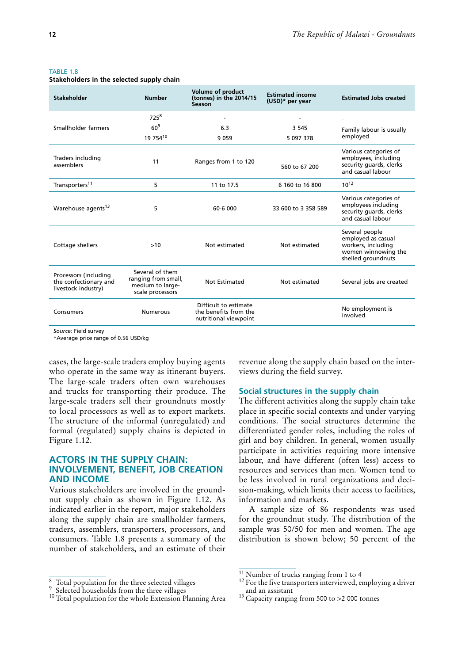#### <span id="page-29-0"></span>TABLE 1.8

**Stakeholders in the selected supply chain** 

| <b>Stakeholder</b>                                                    | <b>Number</b>                                                                  | <b>Volume of product</b><br>(tonnes) in the 2014/15<br>Season           | <b>Estimated income</b><br>(USD)* per year | <b>Estimated Jobs created</b>                                                                           |
|-----------------------------------------------------------------------|--------------------------------------------------------------------------------|-------------------------------------------------------------------------|--------------------------------------------|---------------------------------------------------------------------------------------------------------|
|                                                                       | 725 <sup>8</sup>                                                               |                                                                         |                                            |                                                                                                         |
| Smallholder farmers                                                   | 60 <sup>9</sup>                                                                | 6.3                                                                     | 3 5 4 5                                    | Family labour is usually                                                                                |
|                                                                       | 19 75410                                                                       | 9059                                                                    | 5 097 378                                  | employed                                                                                                |
| Traders including<br>assemblers                                       | 11                                                                             | Ranges from 1 to 120                                                    | 560 to 67 200                              | Various categories of<br>employees, including<br>security quards, clerks<br>and casual labour           |
| Transporters <sup>11</sup>                                            | 5                                                                              | 11 to 17.5                                                              | 6 160 to 16 800                            | $10^{12}$                                                                                               |
| Warehouse agents <sup>13</sup>                                        | 5                                                                              | 60-6 000                                                                | 33 600 to 3 358 589                        | Various categories of<br>employees including<br>security quards, clerks<br>and casual labour            |
| Cottage shellers                                                      | >10                                                                            | Not estimated                                                           | Not estimated                              | Several people<br>employed as casual<br>workers, including<br>women winnowing the<br>shelled groundnuts |
| Processors (including<br>the confectionary and<br>livestock industry) | Several of them<br>ranging from small,<br>medium to large-<br>scale processors | Not Estimated                                                           | Not estimated                              | Several jobs are created                                                                                |
| Consumers                                                             | <b>Numerous</b>                                                                | Difficult to estimate<br>the benefits from the<br>nutritional viewpoint |                                            | No employment is<br>involved                                                                            |

*Source:* Field survey

\*Average price range of 0.56 USD/kg

cases, the large-scale traders employ buying agents who operate in the same way as itinerant buyers. The large-scale traders often own warehouses and trucks for transporting their produce. The large-scale traders sell their groundnuts mostly to local processors as well as to export markets. The structure of the informal (unregulated) and formal (regulated) supply chains is depicted in Figure 1.12.

## **ACTORS IN THE SUPPLY CHAIN: INVOLVEMENT, BENEFIT, JOB CREATION AND INCOME**

Various stakeholders are involved in the groundnut supply chain as shown in Figure 1.12. As indicated earlier in the report, major stakeholders along the supply chain are smallholder farmers, traders, assemblers, transporters, processors, and consumers. Table 1.8 presents a summary of the number of stakeholders, and an estimate of their

revenue along the supply chain based on the interviews during the field survey.

#### **Social structures in the supply chain**

The different activities along the supply chain take place in specific social contexts and under varying conditions. The social structures determine the differentiated gender roles, including the roles of girl and boy children. In general, women usually participate in activities requiring more intensive labour, and have different (often less) access to resources and services than men. Women tend to be less involved in rural organizations and decision-making, which limits their access to facilities, information and markets.

A sample size of 86 respondents was used for the groundnut study. The distribution of the sample was 50/50 for men and women. The age distribution is shown below; 50 percent of the

<sup>8</sup> Total population for the three selected villages <sup>9</sup> Selected households from the three villages <sup>10</sup> Total population for the whole Extension Planning Area

<sup>&</sup>lt;sup>11</sup> Number of trucks ranging from 1 to 4  $\frac{12}{12}$  For the five transporters interviewed, employing a driver and an assistant

<sup>13</sup> Capacity ranging from 500 to >2 000 tonnes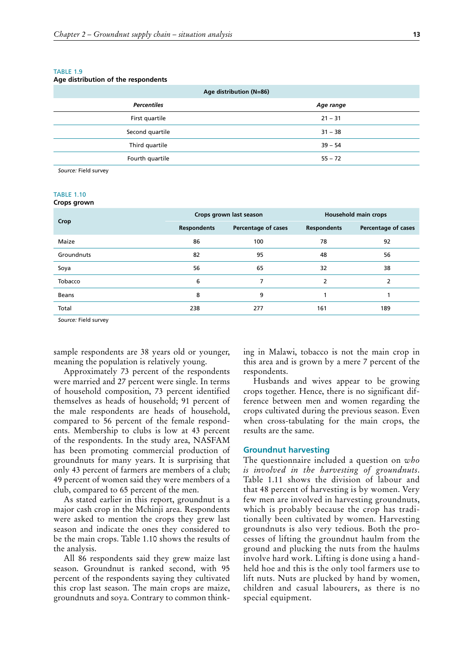#### <span id="page-30-0"></span>TARI F 19

#### **Age distribution of the respondents**

| Age distribution (N=86) |
|-------------------------|
| Age range               |
| $21 - 31$               |
| $31 - 38$               |
| $39 - 54$               |
| $55 - 72$               |
|                         |

*Source:* Field survey

## TABLE 1.10

| Crops grown |  |
|-------------|--|
|-------------|--|

| Crop       |                    | Crops grown last season | <b>Household main crops</b> |                     |  |
|------------|--------------------|-------------------------|-----------------------------|---------------------|--|
|            | <b>Respondents</b> | Percentage of cases     | <b>Respondents</b>          | Percentage of cases |  |
| Maize      | 86                 | 100                     | 78                          | 92                  |  |
| Groundnuts | 82                 | 95                      | 48                          | 56                  |  |
| Soya       | 56                 | 65                      | 32                          | 38                  |  |
| Tobacco    | 6                  | 7                       | 2                           | 2                   |  |
| Beans      | 8                  | 9                       |                             |                     |  |
| Total      | 238                | 277                     | 161                         | 189                 |  |

*Source:* Field survey

sample respondents are 38 years old or younger, meaning the population is relatively young.

Approximately 73 percent of the respondents were married and 27 percent were single. In terms of household composition, 73 percent identified themselves as heads of household; 91 percent of the male respondents are heads of household, compared to 56 percent of the female respondents. Membership to clubs is low at 43 percent of the respondents. In the study area, NASFAM has been promoting commercial production of groundnuts for many years. It is surprising that only 43 percent of farmers are members of a club; 49 percent of women said they were members of a club, compared to 65 percent of the men.

As stated earlier in this report, groundnut is a major cash crop in the Mchinji area. Respondents were asked to mention the crops they grew last season and indicate the ones they considered to be the main crops. Table 1.10 shows the results of the analysis.

All 86 respondents said they grew maize last season. Groundnut is ranked second, with 95 percent of the respondents saying they cultivated this crop last season. The main crops are maize, groundnuts and soya. Contrary to common thinking in Malawi, tobacco is not the main crop in this area and is grown by a mere 7 percent of the respondents.

Husbands and wives appear to be growing crops together. Hence, there is no significant difference between men and women regarding the crops cultivated during the previous season. Even when cross-tabulating for the main crops, the results are the same.

#### **Groundnut harvesting**

The questionnaire included a question on *who is involved in the harvesting of groundnuts*. Table 1.11 shows the division of labour and that 48 percent of harvesting is by women. Very few men are involved in harvesting groundnuts, which is probably because the crop has traditionally been cultivated by women. Harvesting groundnuts is also very tedious. Both the processes of lifting the groundnut haulm from the ground and plucking the nuts from the haulms involve hard work. Lifting is done using a handheld hoe and this is the only tool farmers use to lift nuts. Nuts are plucked by hand by women, children and casual labourers, as there is no special equipment.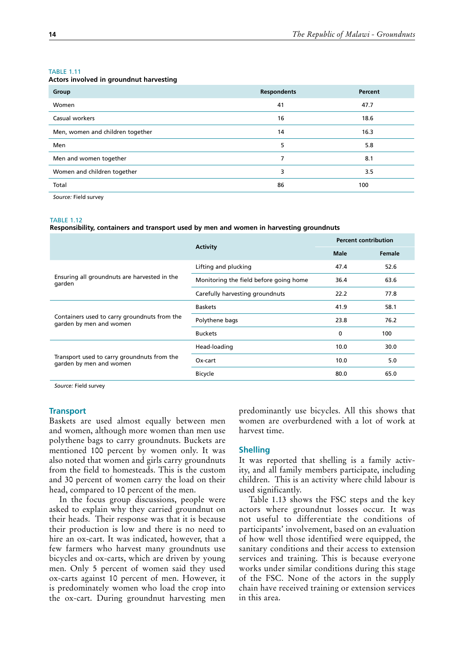#### <span id="page-31-0"></span>TABLE 1.11

|  | Actors involved in groundnut harvesting |
|--|-----------------------------------------|
|--|-----------------------------------------|

| Group                            | <b>Respondents</b> | Percent |
|----------------------------------|--------------------|---------|
| Women                            | 41                 | 47.7    |
| Casual workers                   | 16                 | 18.6    |
| Men, women and children together | 14                 | 16.3    |
| Men                              | 5                  | 5.8     |
| Men and women together           | 7                  | 8.1     |
| Women and children together      | 3                  | 3.5     |
| Total                            | 86                 | 100     |
|                                  |                    |         |

*Source:* Field survey

#### TABLE 1.12

**Responsibility, containers and transport used by men and women in harvesting groundnuts**

|                                                                                                                                   | <b>Activity</b>                        | <b>Percent contribution</b> |        |
|-----------------------------------------------------------------------------------------------------------------------------------|----------------------------------------|-----------------------------|--------|
|                                                                                                                                   |                                        | <b>Male</b>                 | Female |
| Ensuring all groundnuts are harvested in the<br>garden<br>Containers used to carry groundnuts from the<br>garden by men and women | Lifting and plucking                   | 47.4                        | 52.6   |
|                                                                                                                                   | Monitoring the field before going home | 36.4                        | 63.6   |
|                                                                                                                                   | Carefully harvesting groundnuts        | 22.2                        | 77.8   |
|                                                                                                                                   | <b>Baskets</b>                         | 41.9                        | 58.1   |
|                                                                                                                                   | Polythene bags                         | 23.8                        | 76.2   |
|                                                                                                                                   | <b>Buckets</b>                         | 0                           | 100    |
|                                                                                                                                   | Head-loading                           | 10.0                        | 30.0   |
| Transport used to carry groundnuts from the<br>garden by men and women                                                            | Ox-cart                                | 10.0                        | 5.0    |
|                                                                                                                                   | <b>Bicycle</b>                         | 80.0                        | 65.0   |

*Source:* Field survey

#### **Transport**

Baskets are used almost equally between men and women, although more women than men use polythene bags to carry groundnuts. Buckets are mentioned 100 percent by women only. It was also noted that women and girls carry groundnuts from the field to homesteads. This is the custom and 30 percent of women carry the load on their head, compared to 10 percent of the men.

In the focus group discussions, people were asked to explain why they carried groundnut on their heads. Their response was that it is because their production is low and there is no need to hire an ox-cart. It was indicated, however, that a few farmers who harvest many groundnuts use bicycles and ox-carts, which are driven by young men. Only 5 percent of women said they used ox-carts against 10 percent of men. However, it is predominately women who load the crop into the ox-cart. During groundnut harvesting men

predominantly use bicycles. All this shows that women are overburdened with a lot of work at harvest time.

#### **Shelling**

It was reported that shelling is a family activity, and all family members participate, including children. This is an activity where child labour is used significantly.

Table 1.13 shows the FSC steps and the key actors where groundnut losses occur. It was not useful to differentiate the conditions of participants' involvement, based on an evaluation of how well those identified were equipped, the sanitary conditions and their access to extension services and training. This is because everyone works under similar conditions during this stage of the FSC. None of the actors in the supply chain have received training or extension services in this area.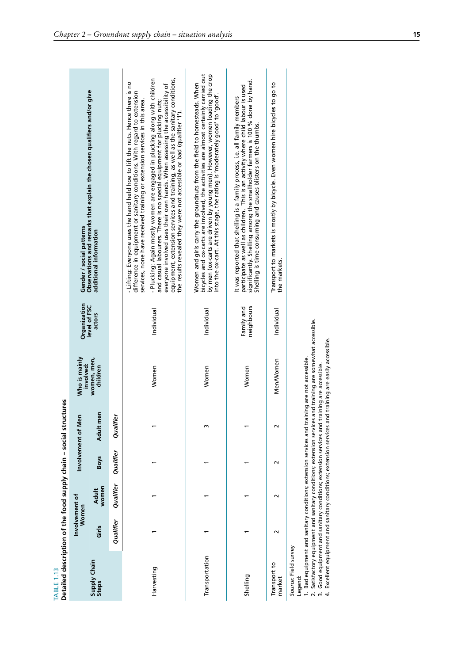<span id="page-32-0"></span>

| Detailed description of the food supply chain - social structures<br><b>TABLE 1.13</b>                                                                                                                                                                   |                         |                |             |                    |                                                                                                                                                                                                         |                              |                                                                                                                                                                                                                                                                                                                                                                                                                                                                                                                                                                                                                                            |
|----------------------------------------------------------------------------------------------------------------------------------------------------------------------------------------------------------------------------------------------------------|-------------------------|----------------|-------------|--------------------|---------------------------------------------------------------------------------------------------------------------------------------------------------------------------------------------------------|------------------------------|--------------------------------------------------------------------------------------------------------------------------------------------------------------------------------------------------------------------------------------------------------------------------------------------------------------------------------------------------------------------------------------------------------------------------------------------------------------------------------------------------------------------------------------------------------------------------------------------------------------------------------------------|
|                                                                                                                                                                                                                                                          | Involvement of<br>Women |                |             | Involvement of Men | Who is mainly<br>involved:                                                                                                                                                                              | Organization<br>level of FSC | Gender / social patterns                                                                                                                                                                                                                                                                                                                                                                                                                                                                                                                                                                                                                   |
| Supply Chain<br>Steps                                                                                                                                                                                                                                    | Girls                   | women<br>Adult | <b>Boys</b> | Adult men          | women, men,<br>children                                                                                                                                                                                 | actors                       | Observations and remarks that explain the chosen qualifiers and/or give<br>additional information                                                                                                                                                                                                                                                                                                                                                                                                                                                                                                                                          |
|                                                                                                                                                                                                                                                          | Qualifier               | Qualifier      | Qualifier   | Qualifier          |                                                                                                                                                                                                         |                              |                                                                                                                                                                                                                                                                                                                                                                                                                                                                                                                                                                                                                                            |
| Harvesting                                                                                                                                                                                                                                               |                         |                |             |                    | Women                                                                                                                                                                                                   | Individual                   | equipment, extension services and training, as well as the sanitary conditions,<br>- Plucking: Again mostly women are engaged in plucking along with children<br>- Lifting: Everyone uses the hand held hoe to lift the nuts. Hence there is no<br>everyone involved uses their own hands. When assessing the accessibility of<br>difference in equipment or sanitary conditions. With regard to extension<br>services, none have received training or extension services in this area.<br>and casual labourers. There is no special equipment for plucking nuts;<br>the results revealed they were not accessible or bad (qualifier '1'). |
| Transportation                                                                                                                                                                                                                                           |                         |                |             | m                  | Women                                                                                                                                                                                                   | Individual                   | bicycles and ox-carts are involved, the activities are almost certainly carried out<br>by men (ox-carts are driven by young men). However, women loading the crop<br>Women and girls carry the groundnuts from the field to homesteads. When<br>into the ox-cart. At this stage, the rating is 'moderately good' to 'good'.                                                                                                                                                                                                                                                                                                                |
| Shelling                                                                                                                                                                                                                                                 |                         |                |             |                    | Women                                                                                                                                                                                                   | neighbours<br>Family and     | significantly. Shelling among the smallholder farmers is 100 % done by hand.<br>participate as well as children. This is an activity where child labour is used<br>It was reported that shelling is a family process, i.e. all family members<br>Shelling is time consuming and causes blisters on the thumbs.                                                                                                                                                                                                                                                                                                                             |
| Transport to<br>market                                                                                                                                                                                                                                   | $\sim$                  | $\sim$         | $\sim$      | $\sim$             | Men/Women                                                                                                                                                                                               | Individual                   | Transport to markets is mostly by bicycle. Even women hire bicycles to go to<br>the markets.                                                                                                                                                                                                                                                                                                                                                                                                                                                                                                                                               |
| 1. Bad equipment and sanitary conditions; extension services and tra<br>2. Satisfactory equipment and sanitary conditions; extension services<br>3. Good equipment and sanitary conditions; extension services and tr<br>Source: Field survey<br>Legend: |                         |                |             |                    | and training are somewhat accessible.<br>4. Excellent equipment and sanitary conditions; extension services and training are easily accessible.<br>ining are not accessible.<br>raining are accessible. |                              |                                                                                                                                                                                                                                                                                                                                                                                                                                                                                                                                                                                                                                            |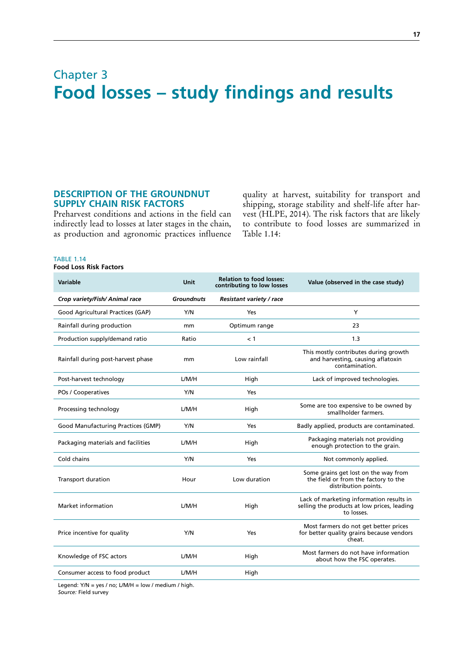## <span id="page-34-0"></span>Chapter 3 **Food losses – study findings and results**

## **DESCRIPTION OF THE GROUNDNUT SUPPLY CHAIN RISK FACTORS**

Preharvest conditions and actions in the field can indirectly lead to losses at later stages in the chain, as production and agronomic practices influence quality at harvest, suitability for transport and shipping, storage stability and shelf-life after harvest (HLPE, 2014). The risk factors that are likely to contribute to food losses are summarized in Table 1.14:

## TABLE 1.14

**Food Loss Risk Factors** 

| <b>Variable</b>                    | <b>Unit</b>       | <b>Relation to food losses:</b><br>contributing to low losses | Value (observed in the case study)                                                                    |
|------------------------------------|-------------------|---------------------------------------------------------------|-------------------------------------------------------------------------------------------------------|
| Crop variety/Fish/ Animal race     | <b>Groundnuts</b> | Resistant variety / race                                      |                                                                                                       |
| Good Agricultural Practices (GAP)  | Y/N               | Yes                                                           | Y                                                                                                     |
| Rainfall during production         | mm                | Optimum range                                                 | 23                                                                                                    |
| Production supply/demand ratio     | Ratio             | < 1                                                           | 1.3                                                                                                   |
| Rainfall during post-harvest phase | mm                | Low rainfall                                                  | This mostly contributes during growth<br>and harvesting, causing aflatoxin<br>contamination.          |
| Post-harvest technology            | L/M/H             | High                                                          | Lack of improved technologies.                                                                        |
| POs / Cooperatives                 | Y/N               | Yes                                                           |                                                                                                       |
| Processing technology              | L/M/H             | High                                                          | Some are too expensive to be owned by<br>smallholder farmers.                                         |
| Good Manufacturing Practices (GMP) | Y/N               | Yes                                                           | Badly applied, products are contaminated.                                                             |
| Packaging materials and facilities | L/M/H             | High                                                          | Packaging materials not providing<br>enough protection to the grain.                                  |
| Cold chains                        | Y/N               | Yes                                                           | Not commonly applied.                                                                                 |
| <b>Transport duration</b>          | Hour              | Low duration                                                  | Some grains get lost on the way from<br>the field or from the factory to the<br>distribution points.  |
| Market information                 | L/M/H             | High                                                          | Lack of marketing information results in<br>selling the products at low prices, leading<br>to losses. |
| Price incentive for quality        | Y/N               | Yes                                                           | Most farmers do not get better prices<br>for better quality grains because vendors<br>cheat.          |
| Knowledge of FSC actors            | L/M/H             | High                                                          | Most farmers do not have information<br>about how the FSC operates.                                   |
| Consumer access to food product    | L/M/H             | High                                                          |                                                                                                       |

Legend: Y/N = yes / no; L/M/H = low / medium / high. *Source:* Field survey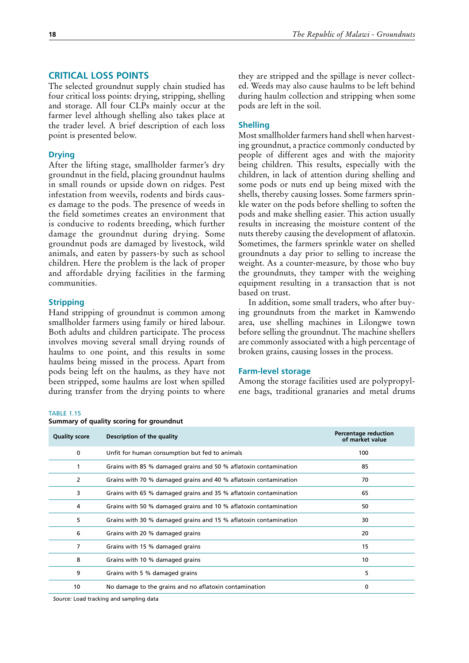## <span id="page-35-0"></span>**CRITICAL LOSS POINTS**

The selected groundnut supply chain studied has four critical loss points: drying, stripping, shelling and storage. All four CLPs mainly occur at the farmer level although shelling also takes place at the trader level. A brief description of each loss point is presented below.

#### **Drying**

After the lifting stage, smallholder farmer's dry groundnut in the field, placing groundnut haulms in small rounds or upside down on ridges. Pest infestation from weevils, rodents and birds causes damage to the pods. The presence of weeds in the field sometimes creates an environment that is conducive to rodents breeding, which further damage the groundnut during drying. Some groundnut pods are damaged by livestock, wild animals, and eaten by passers-by such as school children. Here the problem is the lack of proper and affordable drying facilities in the farming communities.

#### **Stripping**

Hand stripping of groundnut is common among smallholder farmers using family or hired labour. Both adults and children participate. The process involves moving several small drying rounds of haulms to one point, and this results in some haulms being missed in the process. Apart from pods being left on the haulms, as they have not been stripped, some haulms are lost when spilled during transfer from the drying points to where they are stripped and the spillage is never collected. Weeds may also cause haulms to be left behind during haulm collection and stripping when some pods are left in the soil.

#### **Shelling**

Most smallholder farmers hand shell when harvesting groundnut, a practice commonly conducted by people of different ages and with the majority being children. This results, especially with the children, in lack of attention during shelling and some pods or nuts end up being mixed with the shells, thereby causing losses. Some farmers sprinkle water on the pods before shelling to soften the pods and make shelling easier. This action usually results in increasing the moisture content of the nuts thereby causing the development of aflatoxin. Sometimes, the farmers sprinkle water on shelled groundnuts a day prior to selling to increase the weight. As a counter-measure, by those who buy the groundnuts, they tamper with the weighing equipment resulting in a transaction that is not based on trust.

In addition, some small traders, who after buying groundnuts from the market in Kamwendo area, use shelling machines in Lilongwe town before selling the groundnut. The machine shellers are commonly associated with a high percentage of broken grains, causing losses in the process.

#### **Farm-level storage**

Among the storage facilities used are polypropylene bags, traditional granaries and metal drums

## TABLE 1.15

|                      | Summary of quality scoring for groundnut                         |                                                |
|----------------------|------------------------------------------------------------------|------------------------------------------------|
| <b>Quality score</b> | Description of the quality                                       | <b>Percentage reduction</b><br>of market value |
| 0                    | Unfit for human consumption but fed to animals                   | 100                                            |
|                      | Grains with 85 % damaged grains and 50 % aflatoxin contamination | 85                                             |
| 2                    | Grains with 70 % damaged grains and 40 % aflatoxin contamination | 70                                             |
| 3                    | Grains with 65 % damaged grains and 35 % aflatoxin contamination | 65                                             |
| 4                    | Grains with 50 % damaged grains and 10 % aflatoxin contamination | 50                                             |
| 5                    | Grains with 30 % damaged grains and 15 % aflatoxin contamination | 30                                             |

6 Grains with 20 % damaged grains 20 7 Grains with 15 % damaged grains 15 8 Grains with 10 % damaged grains 10 and 10 and 10 and 10 and 10 and 10 and 10 and 10 and 10 and 10 and 10 and 10 and 10 and 10 and 10 and 10 and 10 and 10 and 10 and 10 and 10 and 10 and 10 and 10 and 10 and 10 and 10 and 9 Grains with 5 % damaged grains 5 and 5 and 5 and 5 and 5 and 5 and 5 and 5 and 5 and 5 and 5 and 5 and 5 and 5 and 5 and 5 and 5 and 5 and 5 and 5 and 5 and 5 and 5 and 5 and 5 and 5 and 5 and 5 and 5 and 5 and 5 and 5 a 10 No damage to the grains and no aflatoxin contamination 0

*Source:* Load tracking and sampling data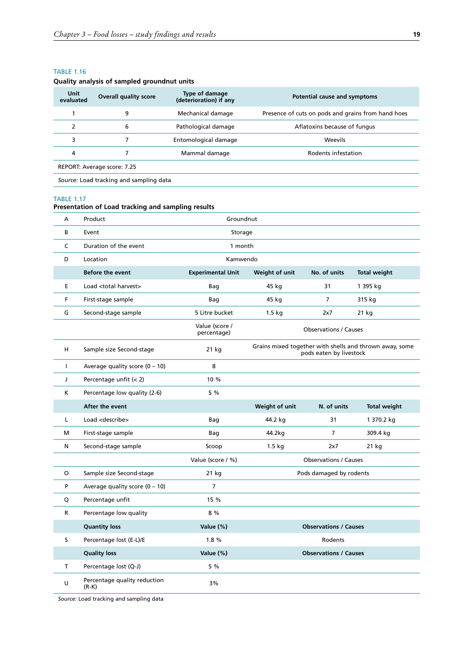### <span id="page-36-0"></span>TABLE 1.16

### **Quality analysis of sampled groundnut units**

| Unit<br>evaluated | <b>Overall quality score</b> | Type of damage<br>(deterioration) if any | Potential cause and symptoms                       |
|-------------------|------------------------------|------------------------------------------|----------------------------------------------------|
|                   | 9                            | Mechanical damage                        | Presence of cuts on pods and grains from hand hoes |
|                   | 6                            | Pathological damage                      | Aflatoxins because of fungus                       |
| 3                 |                              | Entomological damage                     | <b>Weevils</b>                                     |
| 4                 |                              | Mammal damage                            | Rodents infestation                                |
|                   | REPORT: Average score: 7.25  |                                          |                                                    |

*Source:* Load tracking and sampling data

#### TABLE 1.17

## **Presentation of Load tracking and sampling results**

| A  | Product                          | Groundnut                     |                         |                              |                                                         |
|----|----------------------------------|-------------------------------|-------------------------|------------------------------|---------------------------------------------------------|
| B  | Event                            | Storage                       |                         |                              |                                                         |
| C  | Duration of the event            | 1 month                       |                         |                              |                                                         |
| D  | Location                         | Kamwendo                      |                         |                              |                                                         |
|    | Before the event                 | <b>Experimental Unit</b>      | Weight of unit          | No. of units                 | <b>Total weight</b>                                     |
| E  | Load <total harvest=""></total>  | Bag                           | 45 kg                   | 31                           | 1 395 kg                                                |
| F  | First-stage sample               | Bag                           | 45 kg                   | $\overline{7}$               | 315 kg                                                  |
| G  | Second-stage sample              | 5 Litre bucket                | 1.5 kg                  | 2x7                          | 21 kg                                                   |
|    |                                  | Value (score /<br>percentage) |                         | <b>Observations / Causes</b> |                                                         |
| H  | Sample size Second-stage         | 21 kg                         |                         | pods eaten by livestock      | Grains mixed together with shells and thrown away, some |
| L  | Average quality score $(0 - 10)$ | 8                             |                         |                              |                                                         |
| J  | Percentage unfit (< 2)           | 10 %                          |                         |                              |                                                         |
| K  | Percentage low quality (2-6)     | 5 %                           |                         |                              |                                                         |
|    | After the event                  |                               | Weight of unit          | N. of units                  | <b>Total weight</b>                                     |
| L  | Load <describe></describe>       | Bag                           | 44.2 kg                 | 31                           | 1 370.2 kg                                              |
| м  | First-stage sample               | Bag                           | 44.2kg                  | 7                            | 309.4 kg                                                |
| Ν  | Second-stage sample              | Scoop                         | 1.5 kg                  | 2x7                          | 21 kg                                                   |
|    |                                  | Value (score / %)             |                         | <b>Observations / Causes</b> |                                                         |
| O  | Sample size Second-stage         | 21 kg                         | Pods damaged by rodents |                              |                                                         |
| P  |                                  |                               |                         |                              |                                                         |
|    | Average quality score $(0 - 10)$ | $\overline{7}$                |                         |                              |                                                         |
| Q  | Percentage unfit                 | 15 %                          |                         |                              |                                                         |
| R  | Percentage low quality           | 8 %                           |                         |                              |                                                         |
|    | <b>Quantity loss</b>             | Value (%)                     |                         | <b>Observations / Causes</b> |                                                         |
| s. | Percentage lost (E-L)/E          | 1.8%                          |                         | Rodents                      |                                                         |
|    | <b>Quality loss</b>              | Value (%)                     |                         | <b>Observations / Causes</b> |                                                         |
| T. | Percentage lost (Q-J)            | 5 %                           |                         |                              |                                                         |

*Source:* Load tracking and sampling data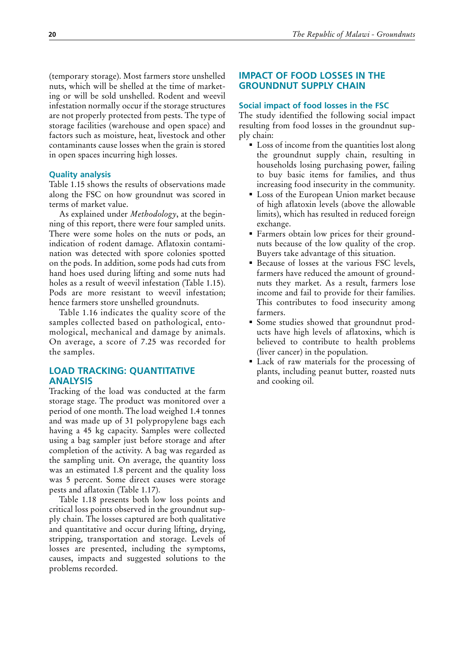<span id="page-37-0"></span>(temporary storage). Most farmers store unshelled nuts, which will be shelled at the time of marketing or will be sold unshelled. Rodent and weevil infestation normally occur if the storage structures are not properly protected from pests. The type of storage facilities (warehouse and open space) and factors such as moisture, heat, livestock and other contaminants cause losses when the grain is stored in open spaces incurring high losses.

## **Quality analysis**

Table 1.15 shows the results of observations made along the FSC on how groundnut was scored in terms of market value.

As explained under *Methodology*, at the beginning of this report, there were four sampled units. There were some holes on the nuts or pods, an indication of rodent damage. Aflatoxin contamination was detected with spore colonies spotted on the pods. In addition, some pods had cuts from hand hoes used during lifting and some nuts had holes as a result of weevil infestation (Table 1.15). Pods are more resistant to weevil infestation; hence farmers store unshelled groundnuts.

Table 1.16 indicates the quality score of the samples collected based on pathological, entomological, mechanical and damage by animals. On average, a score of 7.25 was recorded for the samples.

## **LOAD TRACKING: QUANTITATIVE ANALYSIS**

Tracking of the load was conducted at the farm storage stage. The product was monitored over a period of one month. The load weighed 1.4 tonnes and was made up of 31 polypropylene bags each having a 45 kg capacity. Samples were collected using a bag sampler just before storage and after completion of the activity. A bag was regarded as the sampling unit. On average, the quantity loss was an estimated 1.8 percent and the quality loss was 5 percent. Some direct causes were storage pests and aflatoxin (Table 1.17).

Table 1.18 presents both low loss points and critical loss points observed in the groundnut supply chain. The losses captured are both qualitative and quantitative and occur during lifting, drying, stripping, transportation and storage. Levels of losses are presented, including the symptoms, causes, impacts and suggested solutions to the problems recorded.

## **IMPACT OF FOOD LOSSES IN THE GROUNDNUT SUPPLY CHAIN**

## **Social impact of food losses in the FSC**

The study identified the following social impact resulting from food losses in the groundnut supply chain:

- Loss of income from the quantities lost along the groundnut supply chain, resulting in households losing purchasing power, failing to buy basic items for families, and thus increasing food insecurity in the community.
- Loss of the European Union market because of high aflatoxin levels (above the allowable limits), which has resulted in reduced foreign exchange.
- Farmers obtain low prices for their groundnuts because of the low quality of the crop. Buyers take advantage of this situation.
- Because of losses at the various FSC levels, farmers have reduced the amount of groundnuts they market. As a result, farmers lose income and fail to provide for their families. This contributes to food insecurity among farmers.
- Some studies showed that groundnut products have high levels of aflatoxins, which is believed to contribute to health problems (liver cancer) in the population.
- Lack of raw materials for the processing of plants, including peanut butter, roasted nuts and cooking oil.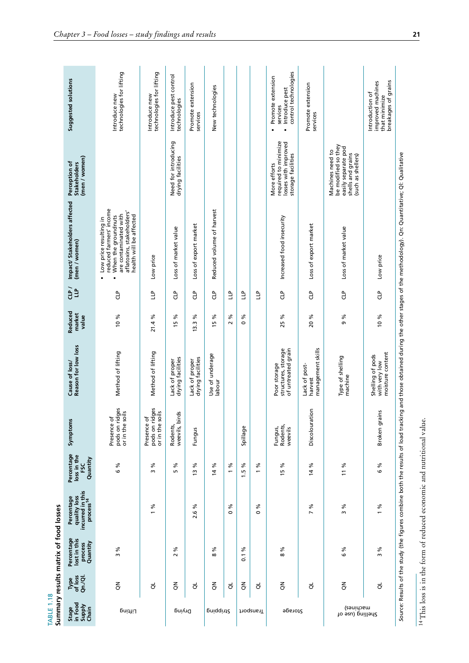<span id="page-38-0"></span>

| TABLE 1.18                          |                            | Summary results matrix of food losses             |                                                                         |                                                     |                                                           |                                                           |                            |             |                                                                                                                                                                                       |                                                                                                           |                                                                                                             |
|-------------------------------------|----------------------------|---------------------------------------------------|-------------------------------------------------------------------------|-----------------------------------------------------|-----------------------------------------------------------|-----------------------------------------------------------|----------------------------|-------------|---------------------------------------------------------------------------------------------------------------------------------------------------------------------------------------|-----------------------------------------------------------------------------------------------------------|-------------------------------------------------------------------------------------------------------------|
| Stage<br>in Food<br>Supply<br>Chain | Type<br>of loss<br>Qn./Ql. | Percentage<br>lost in this<br>Quantity<br>process | incurred in this<br>process <sup>14</sup><br>quality loss<br>Percentage | Percentage<br>loss in the<br>Quantity<br><b>FSC</b> | Symptoms                                                  | Reason for low loss<br>Cause of loss/                     | Reduced<br>market<br>value | $\tilde{d}$ | Impact/ Stakeholders affected<br>(men / women)                                                                                                                                        | (men / women)<br>Perception of<br><b>Stakeholders</b>                                                     | Suggested solutions                                                                                         |
| Lifting                             | $\overline{6}$             | ℅<br>$\mathsf{m}$                                 |                                                                         | ℅<br>$\circ$                                        | pods on ridges<br>or in the soils<br>Presence of          | Method of lifting                                         | 10 %                       | 입<br>U      | reduced farmers' income<br>aflatoxins, stakeholders'<br>are contaminated with<br>health will be affected<br>When the groundnuts<br>Low price resulting in<br>i.<br>٠                  |                                                                                                           | technologies for lifting<br>Introduce new                                                                   |
|                                     | $\vec{\sigma}$             |                                                   | వ<br>$\overline{ }$                                                     | వ్<br>$\mathsf{m}$                                  | isses<br>pods on ridges<br>ar in the soils<br>Presence of | Method of lifting                                         | 21.4 %                     | Ê           | Low price                                                                                                                                                                             |                                                                                                           | technologies for lifting<br>Introduce new                                                                   |
| Drying                              | 중                          | వి<br>$\sim$                                      |                                                                         | వి<br>5                                             | $\overline{a}$<br>Rodents,<br>weevils, birds              | drying facilities<br>Lack of proper                       | వ<br>$\overline{5}$        | م<br>تا     | Loss of market value                                                                                                                                                                  | Need for introducing<br>drying facilities                                                                 | Introduce pest control<br>technologies                                                                      |
|                                     | ಕ                          |                                                   | ళ<br>ە.<br>2                                                            | వి<br>$\tilde{5}$                                   | Fungus                                                    | drying facilities<br>Lack of proper                       | వ<br>13.3                  | å           | Loss of export market                                                                                                                                                                 |                                                                                                           | Promote extension<br>services                                                                               |
| pniqqint?                           | $\overline{6}$             | వ<br>$\infty$                                     |                                                                         | వ<br>$\overline{4}$                                 |                                                           | Use of underage<br>labour                                 | వ<br>$\overline{5}$        | å           | Reduced volume of harvest                                                                                                                                                             |                                                                                                           | New technologies                                                                                            |
|                                     | ಕ                          |                                                   | ళ<br>0                                                                  | వ                                                   |                                                           |                                                           | వ<br>$\sim$                | Ê           |                                                                                                                                                                                       |                                                                                                           |                                                                                                             |
|                                     | $\xi$                      | వ<br>$\overline{0}$                               |                                                                         | వి<br>1.5                                           | Spillage                                                  |                                                           | ४<br>$\circ$               | Ê           |                                                                                                                                                                                       |                                                                                                           |                                                                                                             |
| Transport                           | ಕ                          |                                                   | వ<br>$\circ$                                                            | వ<br>$\overline{\phantom{0}}$                       |                                                           |                                                           |                            | Ê           |                                                                                                                                                                                       |                                                                                                           |                                                                                                             |
| 9ps1012                             | 중                          | ళ<br>$\infty$                                     |                                                                         | వ<br>$\frac{1}{2}$                                  | Rodents,<br>Fungus,<br>weevils                            | of untreated grain<br>structures, storage<br>Poor storage | వ్<br>$\overline{25}$      | ٩,          | Increased food insecurity                                                                                                                                                             | required to minimize<br>losses with improved<br>storage facilities<br>More efforts                        | control technologies<br>Promote extension<br>Introduce pest<br>services<br>$\blacksquare$<br>$\blacksquare$ |
|                                     | $\vec{\sigma}$             |                                                   | ℅<br>$\overline{ }$                                                     | వ<br>$\tilde{a}$                                    | 5<br>Discolourati                                         | management skills<br>Lack of post-<br>harvest             | 20 %                       | å           | Loss of export market                                                                                                                                                                 |                                                                                                           | Promote extension<br>services                                                                               |
| səuidɔɕm)<br>ko əɛu) pnilləd2       | $\xi$                      | % 9                                               | ৯<br>$\sim$                                                             | 11 %                                                |                                                           | Type of shelling<br>machine                               | %<br>o                     | 임<br>디      | Loss of market value                                                                                                                                                                  | be modified so they<br>easily separate pod<br>Machines need to<br>shells and grains<br>(such as shellers) |                                                                                                             |
|                                     | $\vec{\sigma}$             | వ<br>$\sim$                                       | ℅<br>$\overline{ }$                                                     | ৡ<br>G                                              | Broken grains                                             | moisture content<br>Shelling of pods<br>with very low     | 10 %                       | å           | Low price                                                                                                                                                                             |                                                                                                           | breakages of grains<br>improved machines<br>Introduction of<br>that minimize                                |
|                                     |                            |                                                   |                                                                         |                                                     |                                                           |                                                           |                            |             | Source: Results of the study (the figures combine both the results of load tracking and those obtained during the other stages of the methodology). Qn: Quantitative: QI: Qualitative |                                                                                                           |                                                                                                             |

 $^{14}$  This loss is in the form of reduced economic and nutritional value. 14 This loss is in the form of reduced economic and nutritional value.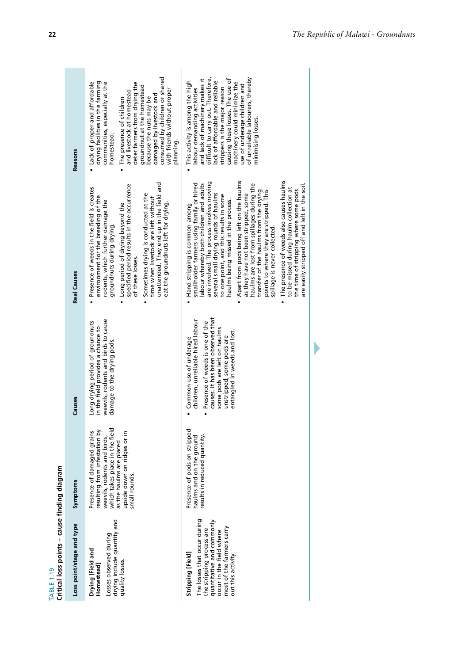|                                              | symptoms                  |
|----------------------------------------------|---------------------------|
| Critical loss points - cause finding diagram | Loss point/stage and type |
| <b>TABLE 1.19</b>                            |                           |

<span id="page-39-0"></span>

| Critical loss points – cause finding diagram<br><b>TABLE 1.19</b>                                                                                                                          |                                                                                                                                                                                                          |                                                                                                                                                                                                                                  |                                                                                                                                                                                                                                                                                                                                                                                                                             |                                                                                                                                                                                                                                                                                                                                                                                 |
|--------------------------------------------------------------------------------------------------------------------------------------------------------------------------------------------|----------------------------------------------------------------------------------------------------------------------------------------------------------------------------------------------------------|----------------------------------------------------------------------------------------------------------------------------------------------------------------------------------------------------------------------------------|-----------------------------------------------------------------------------------------------------------------------------------------------------------------------------------------------------------------------------------------------------------------------------------------------------------------------------------------------------------------------------------------------------------------------------|---------------------------------------------------------------------------------------------------------------------------------------------------------------------------------------------------------------------------------------------------------------------------------------------------------------------------------------------------------------------------------|
| Loss point/stage and type                                                                                                                                                                  | Symptoms                                                                                                                                                                                                 | Causes                                                                                                                                                                                                                           | <b>Real Causes</b>                                                                                                                                                                                                                                                                                                                                                                                                          | <b>Reasons</b>                                                                                                                                                                                                                                                                                                                                                                  |
| drying include quantity and<br>Losses observed during<br>Drying [Field and<br>quality losses.<br>Homestead]                                                                                | which takes place in the field<br>resulting from infestation by<br>Presence of damaged grains<br>upside down on ridges or in<br>weevils, rodents and birds,<br>as the haulms are placed<br>small rounds. | weevils, rodents and birds to cause<br>Long drying period of groundnuts<br>in the field provides a chance to<br>damage to the drying pods.                                                                                       | unattended. They end up in the field and<br>specified period results in the occurrence<br>Presence of weeds in the field is creates<br>Sometimes drying is conducted at the<br>environment for the breeding of the<br>time when livestock are left without<br>rodents, which further damage the<br>eat the groundnuts left for drying.<br>Long period of drying beyond the<br>groundnuts during drying.<br>of these losses. | consumed by children or shared<br>deter farmers from drying the<br>Lack of proper and affordable<br>drying facilities in the farming<br>communities, especially at the<br>groundnut at the homestead<br>with friends without proper<br>and livestock at homestead<br>damaged by livestock and<br>because the nuts may be<br>The presence of children<br>homestead.<br>planning. |
| The losses that occur during<br>quantitative and commonly<br>most of the farmers carry<br>the stripping process are<br>occur in the field where<br>Stripping [Field]<br>out this activity. | Presence of pods on stripped<br>results in reduced quantity.<br>haulms and on the ground                                                                                                                 | causes. It has been observed that<br>children, unreliable hired labour<br>Presence of weeds is one of the<br>some pods are left on haulms<br>entangled in weeds and lost.<br>unstripped, some pods are<br>Common use of underage | are involved. The process involves moving<br>smallholder farmers using family or hired<br>labour whereby both children and adults<br>several small drying rounds of haulms<br>to one point, and this results in some<br>haulms being missed in the process.<br>Hand stripping is common among                                                                                                                               | difficult to carry out. Therefore,<br>causing these losses. The use of<br>and lack of machinery makes it<br>pdt artimini hlun vaerings<br>ack of affordable and reliable<br>This activity is among the high<br>strippers is the major reason<br>labour demanding activities                                                                                                     |

| consumed by children or shared<br>with friends without proper<br>planning.      | difficult to carry out. Therefore,<br>of unreliable labourers, thereby<br>causing these losses. The use of<br>and lack of machinery makes it<br>This activity is among the high<br>lack of affordable and reliable<br>machinery could minimize the<br>use of underage children and<br>strippers is the major reason<br>labour demanding activities<br>minimising losses.                                                                                                                                                                                                                                                                                                           |                                               |
|---------------------------------------------------------------------------------|------------------------------------------------------------------------------------------------------------------------------------------------------------------------------------------------------------------------------------------------------------------------------------------------------------------------------------------------------------------------------------------------------------------------------------------------------------------------------------------------------------------------------------------------------------------------------------------------------------------------------------------------------------------------------------|-----------------------------------------------|
| unattended. They end up in the field and<br>eat the groundnuts left for drying. | The presence of weeds also causes haulms<br>Apart from pods being left on the haulms<br>are involved. The process involves moving<br>smallholder farmers using family or hired<br>abour whereby both children and adults<br>haulms are lost from spillages during the<br>to be missed during haulm collection at<br>the time of stripping where some pods<br>points to where they are stripped. This<br>transfer of the haulms from the drying<br>several small drying rounds of haulms<br>as they have not been stripped, some<br>to one point, and this results in some<br>haulms being missed in the process.<br>Hand stripping is common among<br>spillage is never collected. | are easily stripped off and left in the soil. |
|                                                                                 | causes. It has been observed that<br>children, unreliable hired labour<br>Presence of weeds is one of the<br>some pods are left on haulms<br>entangled in weeds and lost.<br>unstripped, some pods are<br>Common use of underage                                                                                                                                                                                                                                                                                                                                                                                                                                                   |                                               |
|                                                                                 | Presence of pods on stripped<br>esults in reduced quantity.<br>haulms and on the ground                                                                                                                                                                                                                                                                                                                                                                                                                                                                                                                                                                                            |                                               |
|                                                                                 | The losses that occur during<br>the stripping process are<br>quantitative and commonly<br>occur in the field where<br>most of the farmers carry<br>Stripping [Field]<br>out this activity.                                                                                                                                                                                                                                                                                                                                                                                                                                                                                         |                                               |

 $\blacktriangleright$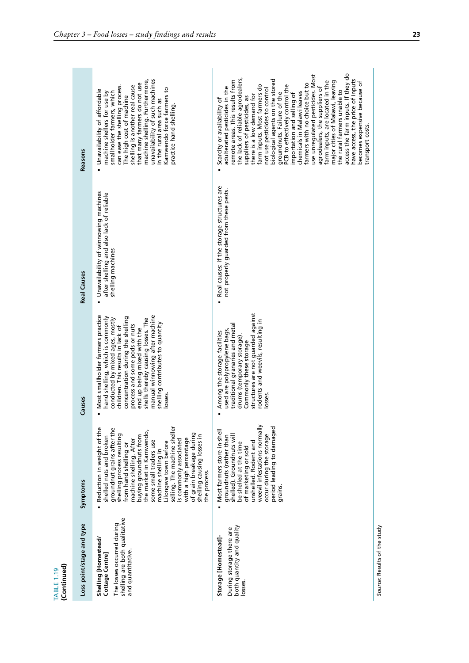|                                  | Reasons                   | unavailability of such machines<br>machine shelling. Furthermore,<br>that many farmers do not use<br>shelling is another real cause<br>can ease the shelling process.<br>Kamwendo force farmers to<br>Unavailability of affordable<br>smallholder farmers, which<br>machine shellers for use by<br>The high cost of machine<br>in the rural area such as<br>practice hand shelling                                                                                | access the farm inputs. If they do<br>use unregulated pesticides. Most<br>the lack of reliable agrodealers,<br>biological agents on the stored<br>have access, the price of inputs<br>emote areas. This results from<br>farm inputs, are located in the<br>major cities of Malawi, leaving<br>becomes expensive because of<br>farmers with no choice but to<br>farm inputs. Most farmers do<br>PCB to effectively control the<br>adulterated pesticides in the<br>agrodealers, the suppliers of<br>not use pesticides to control<br>the rural farmers unable to<br>chemicals in Malawi leaves<br>groundnuts. Failure of the<br>importation and selling of<br>there is a low demand for<br>suppliers of pesticides, as<br>Scarcity or availability of<br>transport costs. |                              |
|----------------------------------|---------------------------|-------------------------------------------------------------------------------------------------------------------------------------------------------------------------------------------------------------------------------------------------------------------------------------------------------------------------------------------------------------------------------------------------------------------------------------------------------------------|--------------------------------------------------------------------------------------------------------------------------------------------------------------------------------------------------------------------------------------------------------------------------------------------------------------------------------------------------------------------------------------------------------------------------------------------------------------------------------------------------------------------------------------------------------------------------------------------------------------------------------------------------------------------------------------------------------------------------------------------------------------------------|------------------------------|
|                                  | <b>Real Causes</b>        | Unavailability of winnowing machines<br>after shelling and also lack of reliable<br>shelling machines                                                                                                                                                                                                                                                                                                                                                             | Real causes: if the storage structures are<br>not properly guarded from these pests.<br>$\blacksquare$                                                                                                                                                                                                                                                                                                                                                                                                                                                                                                                                                                                                                                                                   |                              |
|                                  | Causes                    | Most smallholder farmers practice<br>manual winnowing after machine<br>hand shelling, which is commonly<br>concentration during the shelling<br>shells thereby causing losses. The<br>conducted by mixed ages, mostly<br>shelling contributes to quantity<br>children. This results in lack of<br>process and some pods or nuts<br>end up being mixed with the<br>losses.<br>ä                                                                                    | structures are not guarded against<br>rodents and weevils, resulting in<br>traditional granaries and metal<br>used are polypropylene bags,<br>Among the storage facilities<br>drums (temporary storage)<br>Commonly these storage<br>losses                                                                                                                                                                                                                                                                                                                                                                                                                                                                                                                              |                              |
|                                  | Symptoms                  | selling. The machine sheller<br>Reduction in weight of the<br>groundnut grains after the<br>the market in Kamwendo,<br>of grain breakage during<br>shelling process resulting<br>shelling causing losses in<br>buying groundnuts from<br>shelled nuts and broken<br>with a high percentage<br>is commonly associated<br>machine shelling. After<br>some small traders use<br>Lilongwe town before<br>from hand shelling or<br>machine shelling in<br>the process. | weevil infestations normally<br>period leading to damaged<br>Most farmers store in-shell<br>occur during the storage<br>shelled). Groundnuts will<br>groundnuts (rather than<br>unshelled. Rodent and<br>be shelled at the time<br>of marketing or sold<br>grains.                                                                                                                                                                                                                                                                                                                                                                                                                                                                                                       |                              |
| (Continued)<br><b>TABLE 1.19</b> | Loss point/stage and type | shelling are both qualitative<br>The losses occurred during<br>Shelling [Homestead/<br>and quantitative.<br>Cottage Centre]                                                                                                                                                                                                                                                                                                                                       | both quantity and quality<br>During storage there are<br>Storage [Homestead]-<br>losses.                                                                                                                                                                                                                                                                                                                                                                                                                                                                                                                                                                                                                                                                                 | Source: Results of the study |

**COL**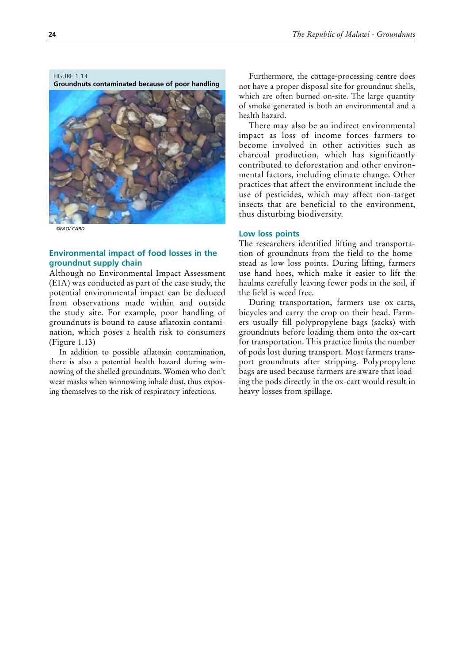<span id="page-41-0"></span>FIGURE 1.13 **Groundnuts contaminated because of poor handling**



*©FAO/ CARD*

## **Environmental impact of food losses in the groundnut supply chain**

Although no Environmental Impact Assessment (EIA) was conducted as part of the case study, the potential environmental impact can be deduced from observations made within and outside the study site. For example, poor handling of groundnuts is bound to cause aflatoxin contamination, which poses a health risk to consumers (Figure 1.13)

In addition to possible aflatoxin contamination, there is also a potential health hazard during winnowing of the shelled groundnuts. Women who don't wear masks when winnowing inhale dust, thus exposing themselves to the risk of respiratory infections.

Furthermore, the cottage-processing centre does not have a proper disposal site for groundnut shells, which are often burned on-site. The large quantity of smoke generated is both an environmental and a health hazard.

There may also be an indirect environmental impact as loss of income forces farmers to become involved in other activities such as charcoal production, which has significantly contributed to deforestation and other environmental factors, including climate change. Other practices that affect the environment include the use of pesticides, which may affect non-target insects that are beneficial to the environment, thus disturbing biodiversity.

### **Low loss points**

The researchers identified lifting and transportation of groundnuts from the field to the homestead as low loss points. During lifting, farmers use hand hoes, which make it easier to lift the haulms carefully leaving fewer pods in the soil, if the field is weed free.

During transportation, farmers use ox-carts, bicycles and carry the crop on their head. Farmers usually fill polypropylene bags (sacks) with groundnuts before loading them onto the ox-cart for transportation. This practice limits the number of pods lost during transport. Most farmers transport groundnuts after stripping. Polypropylene bags are used because farmers are aware that loading the pods directly in the ox-cart would result in heavy losses from spillage.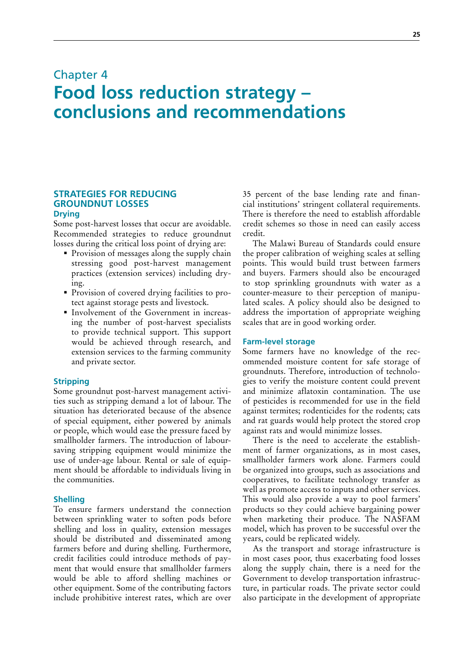## <span id="page-42-0"></span>Chapter 4 **Food loss reduction strategy – conclusions and recommendations**

## **STRATEGIES FOR REDUCING GROUNDNUT LOSSES Drying**

Some post-harvest losses that occur are avoidable. Recommended strategies to reduce groundnut losses during the critical loss point of drying are:

- **Provision of messages along the supply chain** stressing good post-harvest management practices (extension services) including drying.
- Provision of covered drying facilities to protect against storage pests and livestock.
- Involvement of the Government in increasing the number of post-harvest specialists to provide technical support. This support would be achieved through research, and extension services to the farming community and private sector.

## **Stripping**

Some groundnut post-harvest management activities such as stripping demand a lot of labour. The situation has deteriorated because of the absence of special equipment, either powered by animals or people, which would ease the pressure faced by smallholder farmers. The introduction of laboursaving stripping equipment would minimize the use of under-age labour. Rental or sale of equipment should be affordable to individuals living in the communities.

## **Shelling**

To ensure farmers understand the connection between sprinkling water to soften pods before shelling and loss in quality, extension messages should be distributed and disseminated among farmers before and during shelling. Furthermore, credit facilities could introduce methods of payment that would ensure that smallholder farmers would be able to afford shelling machines or other equipment. Some of the contributing factors include prohibitive interest rates, which are over 35 percent of the base lending rate and financial institutions' stringent collateral requirements. There is therefore the need to establish affordable credit schemes so those in need can easily access credit.

The Malawi Bureau of Standards could ensure the proper calibration of weighing scales at selling points. This would build trust between farmers and buyers. Farmers should also be encouraged to stop sprinkling groundnuts with water as a counter-measure to their perception of manipulated scales. A policy should also be designed to address the importation of appropriate weighing scales that are in good working order.

### **Farm-level storage**

Some farmers have no knowledge of the recommended moisture content for safe storage of groundnuts. Therefore, introduction of technologies to verify the moisture content could prevent and minimize aflatoxin contamination. The use of pesticides is recommended for use in the field against termites; rodenticides for the rodents; cats and rat guards would help protect the stored crop against rats and would minimize losses.

There is the need to accelerate the establishment of farmer organizations, as in most cases, smallholder farmers work alone. Farmers could be organized into groups, such as associations and cooperatives, to facilitate technology transfer as well as promote access to inputs and other services. This would also provide a way to pool farmers' products so they could achieve bargaining power when marketing their produce. The NASFAM model, which has proven to be successful over the years, could be replicated widely.

As the transport and storage infrastructure is in most cases poor, thus exacerbating food losses along the supply chain, there is a need for the Government to develop transportation infrastructure, in particular roads. The private sector could also participate in the development of appropriate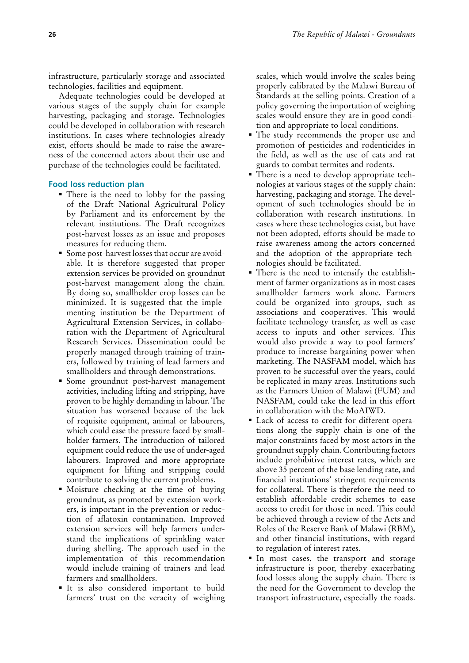infrastructure, particularly storage and associated technologies, facilities and equipment.

Adequate technologies could be developed at various stages of the supply chain for example harvesting, packaging and storage. Technologies could be developed in collaboration with research institutions. In cases where technologies already exist, efforts should be made to raise the awareness of the concerned actors about their use and purchase of the technologies could be facilitated.

## **Food loss reduction plan**

- There is the need to lobby for the passing of the Draft National Agricultural Policy by Parliament and its enforcement by the relevant institutions. The Draft recognizes post-harvest losses as an issue and proposes measures for reducing them.
- Some post-harvest losses that occur are avoidable. It is therefore suggested that proper extension services be provided on groundnut post-harvest management along the chain. By doing so, smallholder crop losses can be minimized. It is suggested that the implementing institution be the Department of Agricultural Extension Services, in collaboration with the Department of Agricultural Research Services. Dissemination could be properly managed through training of trainers, followed by training of lead farmers and smallholders and through demonstrations.
- Some groundnut post-harvest management activities, including lifting and stripping, have proven to be highly demanding in labour. The situation has worsened because of the lack of requisite equipment, animal or labourers, which could ease the pressure faced by smallholder farmers. The introduction of tailored equipment could reduce the use of under-aged labourers. Improved and more appropriate equipment for lifting and stripping could contribute to solving the current problems.
- Moisture checking at the time of buying groundnut, as promoted by extension workers, is important in the prevention or reduction of aflatoxin contamination. Improved extension services will help farmers understand the implications of sprinkling water during shelling. The approach used in the implementation of this recommendation would include training of trainers and lead farmers and smallholders.
- It is also considered important to build farmers' trust on the veracity of weighing

scales, which would involve the scales being properly calibrated by the Malawi Bureau of Standards at the selling points. Creation of a policy governing the importation of weighing scales would ensure they are in good condition and appropriate to local conditions.

- The study recommends the proper use and promotion of pesticides and rodenticides in the field, as well as the use of cats and rat guards to combat termites and rodents.
- There is a need to develop appropriate technologies at various stages of the supply chain: harvesting, packaging and storage. The development of such technologies should be in collaboration with research institutions. In cases where these technologies exist, but have not been adopted, efforts should be made to raise awareness among the actors concerned and the adoption of the appropriate technologies should be facilitated.
- There is the need to intensify the establishment of farmer organizations as in most cases smallholder farmers work alone. Farmers could be organized into groups, such as associations and cooperatives. This would facilitate technology transfer, as well as ease access to inputs and other services. This would also provide a way to pool farmers' produce to increase bargaining power when marketing. The NASFAM model, which has proven to be successful over the years, could be replicated in many areas. Institutions such as the Farmers Union of Malawi (FUM) and NASFAM, could take the lead in this effort in collaboration with the MoAIWD.
- Lack of access to credit for different operations along the supply chain is one of the major constraints faced by most actors in the groundnut supply chain. Contributing factors include prohibitive interest rates, which are above 35 percent of the base lending rate, and financial institutions' stringent requirements for collateral. There is therefore the need to establish affordable credit schemes to ease access to credit for those in need. This could be achieved through a review of the Acts and Roles of the Reserve Bank of Malawi (RBM), and other financial institutions, with regard to regulation of interest rates.
- In most cases, the transport and storage infrastructure is poor, thereby exacerbating food losses along the supply chain. There is the need for the Government to develop the transport infrastructure, especially the roads.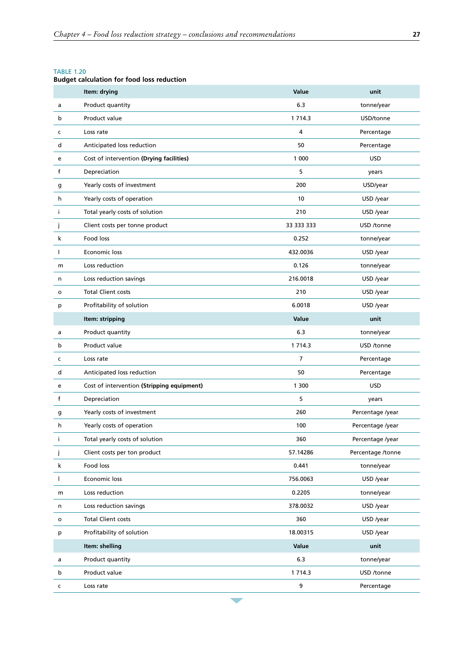## <span id="page-44-0"></span>TABLE 1.20

## **Budget calculation for food loss reduction**

|              | Item: drying                               | Value       | unit              |
|--------------|--------------------------------------------|-------------|-------------------|
| a            | Product quantity                           | 6.3         | tonne/year        |
| b            | Product value                              | 1 7 1 4 . 3 | USD/tonne         |
| c            | Loss rate                                  | 4           | Percentage        |
| d            | Anticipated loss reduction                 | 50          | Percentage        |
| e            | Cost of intervention (Drying facilities)   | 1 000       | <b>USD</b>        |
| f            | Depreciation                               | 5           | years             |
| g            | Yearly costs of investment                 | 200         | USD/year          |
| h            | Yearly costs of operation                  | 10          | USD /year         |
| j            | Total yearly costs of solution             | 210         | USD /year         |
| J            | Client costs per tonne product             | 33 333 333  | USD /tonne        |
| k            | Food loss                                  | 0.252       | tonne/year        |
| I.           | Economic loss                              | 432.0036    | USD /year         |
| m            | Loss reduction                             | 0.126       | tonne/year        |
| n            | Loss reduction savings                     | 216.0018    | USD /year         |
| $\mathsf{o}$ | <b>Total Client costs</b>                  | 210         | USD /year         |
| p            | Profitability of solution                  | 6.0018      | USD /year         |
|              | Item: stripping                            | Value       | unit              |
| a            | Product quantity                           | 6.3         | tonne/year        |
| b            | Product value                              | 1 7 1 4.3   | USD /tonne        |
| c            | Loss rate                                  | 7           | Percentage        |
| d            | Anticipated loss reduction                 | 50          | Percentage        |
| e            | Cost of intervention (Stripping equipment) | 1 300       | <b>USD</b>        |
| f            | Depreciation                               | 5           | years             |
| g            | Yearly costs of investment                 | 260         | Percentage /year  |
| h            | Yearly costs of operation                  | 100         | Percentage /year  |
|              | Total yearly costs of solution             | 360         | Percentage /year  |
| j            | Client costs per ton product               | 57.14286    | Percentage /tonne |
| k            | Food loss                                  | 0.441       | tonne/year        |
| L            | Economic loss                              | 756.0063    | USD /year         |
| m            | Loss reduction                             | 0.2205      | tonne/year        |
| n            | Loss reduction savings                     | 378.0032    | USD /year         |
| $\mathsf{o}$ | <b>Total Client costs</b>                  | 360         | USD /year         |
| p            | Profitability of solution                  | 18.00315    | USD /year         |
|              | Item: shelling                             | Value       | unit              |
| a            | Product quantity                           | 6.3         | tonne/year        |
| b            | Product value                              | 1 7 1 4 .3  | USD /tonne        |
| c            | Loss rate                                  | 9           | Percentage        |

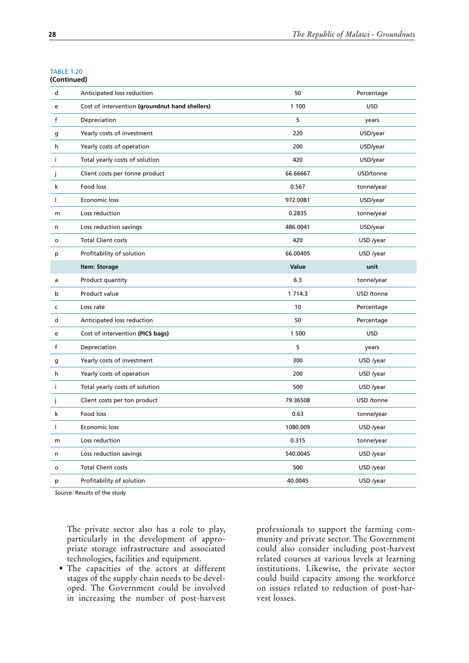#### TABLE 1.20 **(Continued)**

| d            | Anticipated loss reduction                     | 50          | Percentage |
|--------------|------------------------------------------------|-------------|------------|
| e            | Cost of intervention (groundnut hand shellers) | 1 100       | <b>USD</b> |
| f            | Depreciation                                   | 5           | years      |
| g            | Yearly costs of investment                     | 220         | USD/year   |
| h            | Yearly costs of operation                      | 200         | USD/year   |
| j.           | Total yearly costs of solution                 | 420         | USD/year   |
| j            | Client costs per tonne product                 | 66.66667    | USD/tonne  |
| k            | Food loss                                      | 0.567       | tonne/year |
| $\mathbf{I}$ | Economic loss                                  | 972.0081    | USD/year   |
| m            | Loss reduction                                 | 0.2835      | tonne/year |
| n            | Loss reduction savings                         | 486.0041    | USD/year   |
| o            | <b>Total Client costs</b>                      | 420         | USD /year  |
| p            | Profitability of solution                      | 66.00405    | USD /year  |
|              | Item: Storage                                  | Value       | unit       |
| a            | Product quantity                               | 6.3         | tonne/year |
| b            | Product value                                  | 1 7 1 4 . 3 | USD /tonne |
| $\mathsf{C}$ | Loss rate                                      | 10          | Percentage |
| d            | Anticipated loss reduction                     | 50          | Percentage |
| e            | Cost of intervention (PICS bags)               | 1 500       | <b>USD</b> |
| $\mathsf{f}$ | Depreciation                                   | 5           | years      |
| g            | Yearly costs of investment                     | 300         | USD /year  |
| h            | Yearly costs of operation                      | 200         | USD /year  |
| j.           | Total yearly costs of solution                 | 500         | USD /year  |
| Ĵ            | Client costs per ton product                   | 79.36508    | USD /tonne |
| k            | Food loss                                      | 0.63        | tonne/year |
| $\mathbf{I}$ | Economic loss                                  | 1080.009    | USD /year  |
| m            | Loss reduction                                 | 0.315       | tonne/year |
| n            | Loss reduction savings                         | 540.0045    | USD /year  |
| o            | <b>Total Client costs</b>                      | 500         | USD /year  |
| p            | Profitability of solution                      | 40.0045     | USD /year  |
|              |                                                |             |            |

*Source:* Results of the study

The private sector also has a role to play, particularly in the development of appropriate storage infrastructure and associated technologies, facilities and equipment.

 The capacities of the actors at different stages of the supply chain needs to be developed. The Government could be involved in increasing the number of post-harvest

professionals to support the farming community and private sector. The Government could also consider including post-harvest related courses at various levels at learning institutions. Likewise, the private sector could build capacity among the workforce on issues related to reduction of post-harvest losses.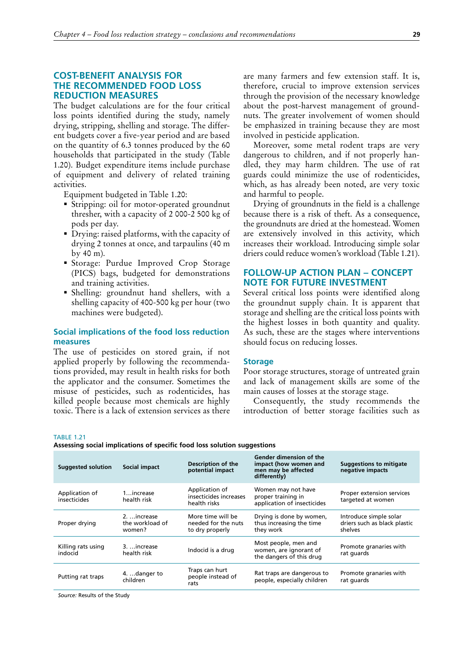## <span id="page-46-0"></span>**COST-BENEFIT ANALYSIS FOR THE RECOMMENDED FOOD LOSS REDUCTION MEASURES**

The budget calculations are for the four critical loss points identified during the study, namely drying, stripping, shelling and storage. The different budgets cover a five-year period and are based on the quantity of 6.3 tonnes produced by the 60 households that participated in the study (Table 1.20). Budget expenditure items include purchase of equipment and delivery of related training activities.

Equipment budgeted in Table 1.20:

- Stripping: oil for motor-operated groundnut thresher, with a capacity of 2 000-2 500 kg of pods per day.
- Drying: raised platforms, with the capacity of drying 2 tonnes at once, and tarpaulins (40 m by 40 m).
- Storage: Purdue Improved Crop Storage (PICS) bags, budgeted for demonstrations and training activities.
- Shelling: groundnut hand shellers, with a shelling capacity of 400-500 kg per hour (two machines were budgeted).

## **Social implications of the food loss reduction measures**

The use of pesticides on stored grain, if not applied properly by following the recommendations provided, may result in health risks for both the applicator and the consumer. Sometimes the misuse of pesticides, such as rodenticides, has killed people because most chemicals are highly toxic. There is a lack of extension services as there are many farmers and few extension staff. It is, therefore, crucial to improve extension services through the provision of the necessary knowledge about the post-harvest management of groundnuts. The greater involvement of women should be emphasized in training because they are most involved in pesticide application.

Moreover, some metal rodent traps are very dangerous to children, and if not properly handled, they may harm children. The use of rat guards could minimize the use of rodenticides, which, as has already been noted, are very toxic and harmful to people.

Drying of groundnuts in the field is a challenge because there is a risk of theft. As a consequence, the groundnuts are dried at the homestead. Women are extensively involved in this activity, which increases their workload. Introducing simple solar driers could reduce women's workload (Table 1.21).

## **FOLLOW-UP ACTION PLAN – CONCEPT NOTE FOR FUTURE INVESTMENT**

Several critical loss points were identified along the groundnut supply chain. It is apparent that storage and shelling are the critical loss points with the highest losses in both quantity and quality. As such, these are the stages where interventions should focus on reducing losses.

#### **Storage**

Poor storage structures, storage of untreated grain and lack of management skills are some of the main causes of losses at the storage stage.

Consequently, the study recommends the introduction of better storage facilities such as

**TARI F 1.21** 

**Assessing social implications of specific food loss solution suggestions**

| <b>Suggested solution</b>                                                         | Social impact                             | Description of the<br>potential impact                                     | Gender dimension of the<br>impact (how women and<br>men may be affected<br>differently) | <b>Suggestions to mitigate</b><br>negative impacts                |
|-----------------------------------------------------------------------------------|-------------------------------------------|----------------------------------------------------------------------------|-----------------------------------------------------------------------------------------|-------------------------------------------------------------------|
| Application of<br>insecticides                                                    | $1$ increase<br>health risk               | Application of<br>insecticides increases<br>health risks                   | Women may not have<br>proper training in<br>application of insecticides                 | Proper extension services<br>targeted at women                    |
| Proper drying                                                                     | 2.  increase<br>the workload of<br>women? | More time will be<br>needed for the nuts<br>to dry properly                | Drying is done by women,<br>thus increasing the time<br>they work                       | Introduce simple solar<br>driers such as black plastic<br>shelves |
| Killing rats using<br>3.  increase<br>Indocid is a drug<br>indocid<br>health risk |                                           | Most people, men and<br>women, are ignorant of<br>the dangers of this drug | Promote granaries with<br>rat guards                                                    |                                                                   |
| Putting rat traps                                                                 | 4. danger to<br>children                  | Traps can hurt<br>people instead of<br>rats                                | Rat traps are dangerous to<br>people, especially children                               | Promote granaries with<br>rat quards                              |

*Source:* Results of the Study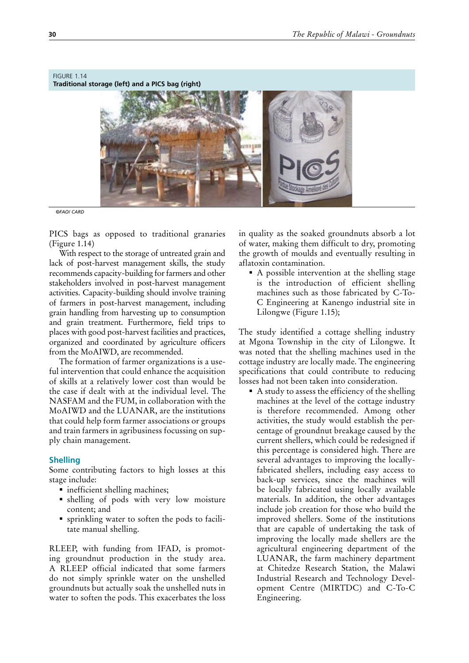## <span id="page-47-0"></span>FIGURE 1.14

**Traditional storage (left) and a PICS bag (right)** 



*©FAO/ CARD*

PICS bags as opposed to traditional granaries (Figure 1.14)

With respect to the storage of untreated grain and lack of post-harvest management skills, the study recommends capacity-building for farmers and other stakeholders involved in post-harvest management activities. Capacity-building should involve training of farmers in post-harvest management, including grain handling from harvesting up to consumption and grain treatment. Furthermore, field trips to places with good post-harvest facilities and practices, organized and coordinated by agriculture officers from the MoAIWD, are recommended.

The formation of farmer organizations is a useful intervention that could enhance the acquisition of skills at a relatively lower cost than would be the case if dealt with at the individual level. The NASFAM and the FUM, in collaboration with the MoAIWD and the LUANAR, are the institutions that could help form farmer associations or groups and train farmers in agribusiness focussing on supply chain management.

## **Shelling**

Some contributing factors to high losses at this stage include:

- **n** inefficient shelling machines;
- shelling of pods with very low moisture content; and
- sprinkling water to soften the pods to facilitate manual shelling.

RLEEP, with funding from IFAD, is promoting groundnut production in the study area. A RLEEP official indicated that some farmers do not simply sprinkle water on the unshelled groundnuts but actually soak the unshelled nuts in water to soften the pods. This exacerbates the loss

in quality as the soaked groundnuts absorb a lot of water, making them difficult to dry, promoting the growth of moulds and eventually resulting in aflatoxin contamination.

A possible intervention at the shelling stage is the introduction of efficient shelling machines such as those fabricated by C-To-C Engineering at Kanengo industrial site in Lilongwe (Figure 1.15);

The study identified a cottage shelling industry at Mgona Township in the city of Lilongwe. It was noted that the shelling machines used in the cottage industry are locally made. The engineering specifications that could contribute to reducing losses had not been taken into consideration.

A study to assess the efficiency of the shelling machines at the level of the cottage industry is therefore recommended. Among other activities, the study would establish the percentage of groundnut breakage caused by the current shellers, which could be redesigned if this percentage is considered high. There are several advantages to improving the locallyfabricated shellers, including easy access to back-up services, since the machines will be locally fabricated using locally available materials. In addition, the other advantages include job creation for those who build the improved shellers. Some of the institutions that are capable of undertaking the task of improving the locally made shellers are the agricultural engineering department of the LUANAR, the farm machinery department at Chitedze Research Station, the Malawi Industrial Research and Technology Development Centre (MIRTDC) and C-To-C Engineering.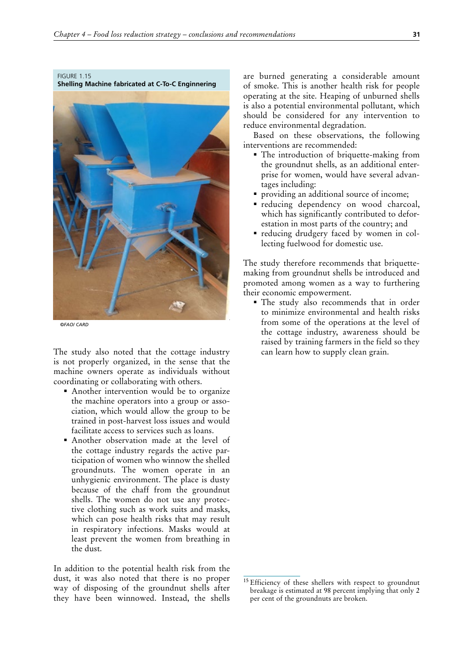<span id="page-48-0"></span>FIGURE 1.15

**Shelling Machine fabricated at C-To-C Enginnering**



*©FAO/ CARD*

The study also noted that the cottage industry is not properly organized, in the sense that the machine owners operate as individuals without coordinating or collaborating with others.

- Another intervention would be to organize the machine operators into a group or association, which would allow the group to be trained in post-harvest loss issues and would facilitate access to services such as loans.
- Another observation made at the level of the cottage industry regards the active participation of women who winnow the shelled groundnuts. The women operate in an unhygienic environment. The place is dusty because of the chaff from the groundnut shells. The women do not use any protective clothing such as work suits and masks, which can pose health risks that may result in respiratory infections. Masks would at least prevent the women from breathing in the dust.

In addition to the potential health risk from the dust, it was also noted that there is no proper way of disposing of the groundnut shells after they have been winnowed. Instead, the shells are burned generating a considerable amount of smoke. This is another health risk for people operating at the site. Heaping of unburned shells is also a potential environmental pollutant, which should be considered for any intervention to reduce environmental degradation.

Based on these observations, the following interventions are recommended:

- The introduction of briquette-making from the groundnut shells, as an additional enterprise for women, would have several advantages including:
- providing an additional source of income;
- reducing dependency on wood charcoal, which has significantly contributed to deforestation in most parts of the country; and
- reducing drudgery faced by women in collecting fuelwood for domestic use.

The study therefore recommends that briquettemaking from groundnut shells be introduced and promoted among women as a way to furthering their economic empowerment.

 The study also recommends that in order to minimize environmental and health risks from some of the operations at the level of the cottage industry, awareness should be raised by training farmers in the field so they can learn how to supply clean grain.

<sup>&</sup>lt;sup>15</sup> Efficiency of these shellers with respect to groundnut breakage is estimated at 98 percent implying that only 2 per cent of the groundnuts are broken.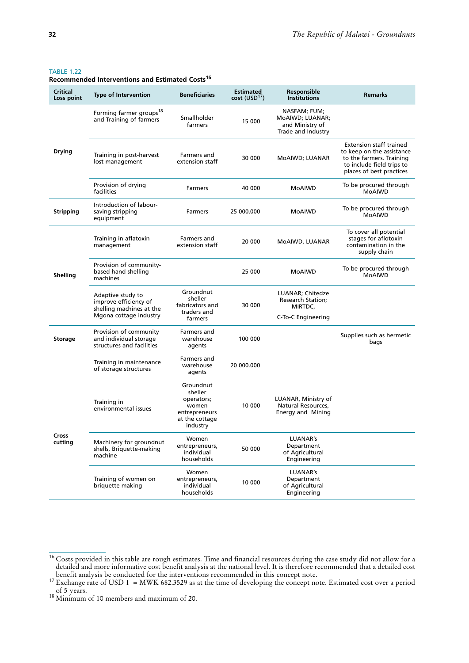#### <span id="page-49-0"></span>TABLE 1.22

**Recommended Interventions and Estimated Costs<sup>16</sup>** 

| Critical<br>Loss point | <b>Type of Intervention</b>                                                                      | <b>Beneficiaries</b>                                                                       | <b>Estimated</b><br>$cost$ (USD <sup>17</sup> ) | Responsible<br><b>Institutions</b>                                       | <b>Remarks</b>                                                                                                                                   |
|------------------------|--------------------------------------------------------------------------------------------------|--------------------------------------------------------------------------------------------|-------------------------------------------------|--------------------------------------------------------------------------|--------------------------------------------------------------------------------------------------------------------------------------------------|
|                        | Forming farmer groups <sup>18</sup><br>and Training of farmers                                   | Smallholder<br>farmers                                                                     | 15 000                                          | NASFAM; FUM;<br>MoAIWD; LUANAR;<br>and Ministry of<br>Trade and Industry |                                                                                                                                                  |
| Drying                 | Training in post-harvest<br>lost management                                                      | Farmers and<br>extension staff                                                             | 30 000                                          | MoAIWD; LUANAR                                                           | <b>Extension staff trained</b><br>to keep on the assistance<br>to the farmers. Training<br>to include field trips to<br>places of best practices |
|                        | Provision of drying<br>facilities                                                                | Farmers                                                                                    | 40 000                                          | MoAIWD                                                                   | To be procured through<br><b>MoAIWD</b>                                                                                                          |
| <b>Stripping</b>       | Introduction of labour-<br>saving stripping<br>equipment                                         | <b>Farmers</b>                                                                             | 25 000.000                                      | MoAIWD                                                                   | To be procured through<br>MoAIWD                                                                                                                 |
|                        | Training in aflatoxin<br>management                                                              | Farmers and<br>extension staff                                                             | 20 000                                          | MoAIWD, LUANAR                                                           | To cover all potential<br>stages for aflotoxin<br>contamination in the<br>supply chain                                                           |
| Shelling               | Provision of community-<br>based hand shelling<br>machines                                       |                                                                                            | 25 000                                          | MoAIWD                                                                   | To be procured through<br><b>MoAIWD</b>                                                                                                          |
|                        | Adaptive study to<br>improve efficiency of<br>shelling machines at the<br>Mgona cottage industry | Groundnut<br>sheller<br>fabricators and<br>traders and<br>farmers                          | 30 000                                          | LUANAR; Chitedze<br>Research Station;<br>MIRTDC,<br>C-To-C Engineering   |                                                                                                                                                  |
| Storage                | Provision of community<br>and individual storage<br>structures and facilities                    | Farmers and<br>warehouse<br>agents                                                         | 100 000                                         |                                                                          | Supplies such as hermetic<br>bags                                                                                                                |
|                        | Training in maintenance<br>of storage structures                                                 | Farmers and<br>warehouse<br>agents                                                         | 20 000.000                                      |                                                                          |                                                                                                                                                  |
|                        | Training in<br>environmental issues                                                              | Groundnut<br>sheller<br>operators;<br>women<br>entrepreneurs<br>at the cottage<br>industry | 10 000                                          | LUANAR, Ministry of<br>Natural Resources,<br>Energy and Mining           |                                                                                                                                                  |
| Cross<br>cutting       | Machinery for groundnut<br>shells, Briquette-making<br>machine                                   | Women<br>entrepreneurs,<br>individual<br>households                                        | 50 000                                          | LUANAR's<br>Department<br>of Agricultural<br>Engineering                 |                                                                                                                                                  |
|                        | Training of women on<br>briquette making                                                         | Women<br>entrepreneurs,<br>individual<br>households                                        | 10 000                                          | LUANAR's<br>Department<br>of Agricultural<br>Engineering                 |                                                                                                                                                  |

<sup>&</sup>lt;sup>16</sup> Costs provided in this table are rough estimates. Time and financial resources during the case study did not allow for a detailed and more informative cost benefit analysis at the national level. It is therefore recommended that a detailed cost

benefit analysis be conducted for the interventions recommended in this concept note.<br><sup>17</sup> Exchange rate of USD 1 = MWK 682.3529 as at the time of developing the concept note. Estimated cost over a period of 5 years.

 $18$  Minimum of 10 members and maximum of 20.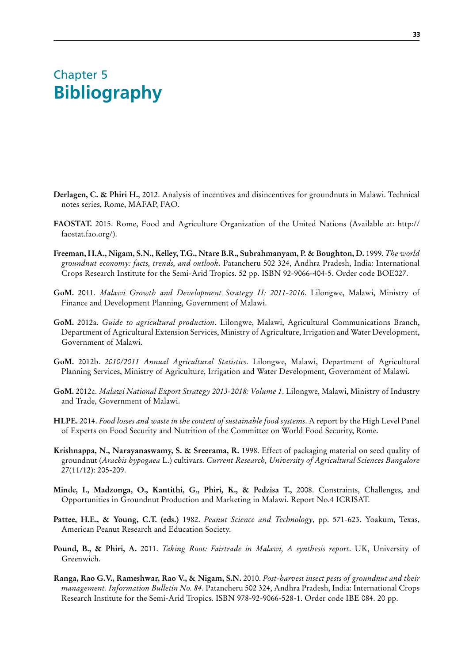## <span id="page-50-0"></span>Chapter 5 **Bibliography**

- **Derlagen, C. & Phiri H.**, 2012. Analysis of incentives and disincentives for groundnuts in Malawi. Technical notes series, Rome, MAFAP, FAO.
- **FAOSTAT.** 2015. Rome, Food and Agriculture Organization of the United Nations (Available at: [http://](http://faostat.fao.org/) [faostat.fao.org/\)](http://faostat.fao.org/).
- **Freeman, H.A., Nigam, S.N., Kelley, T.G., Ntare B.R., Subrahmanyam, P. & Boughton, D.** 1999. *The world groundnut economy: facts, trends, and outlook*. Patancheru 502 324, Andhra Pradesh, India: International Crops Research Institute for the Semi-Arid Tropics. 52 pp. ISBN 92-9066-404-5. Order code BOE027.
- **GoM.** 2011. *Malawi Growth and Development Strategy II: 2011-2016*. Lilongwe, Malawi, Ministry of Finance and Development Planning, Government of Malawi.
- **GoM.** 2012a. *Guide to agricultural production*. Lilongwe, Malawi, Agricultural Communications Branch, Department of Agricultural Extension Services, Ministry of Agriculture, Irrigation and Water Development, Government of Malawi.
- **GoM.** 2012b. *2010/2011 Annual Agricultural Statistics*. Lilongwe, Malawi, Department of Agricultural Planning Services, Ministry of Agriculture, Irrigation and Water Development, Government of Malawi.
- **GoM.** 2012c. *Malawi National Export Strategy 2013-2018: Volume 1*. Lilongwe, Malawi, Ministry of Industry and Trade, Government of Malawi.
- **HLPE.** 2014. *Food losses and waste in the context of sustainable food systems*. A report by the High Level Panel of Experts on Food Security and Nutrition of the Committee on World Food Security, Rome.
- **Krishnappa, N., Narayanaswamy, S. & Sreerama, R.** 1998. Effect of packaging material on seed quality of groundnut (*Arachis hypogaea* L.) cultivars. *Current Research, University of Agricultural Sciences Bangalore*  27(11/12): 205-209.
- **Minde, I., Madzonga, O., Kantithi, G., Phiri, K., & Pedzisa T.,** 2008. Constraints, Challenges, and Opportunities in Groundnut Production and Marketing in Malawi. Report No.4 ICRISAT.
- **Pattee, H.E., & Young, C.T. (eds.)** 1982. *Peanut Science and Technology*, pp. 571-623. Yoakum, Texas, American Peanut Research and Education Society.
- **Pound, B., & Phiri, A.** 2011. *Taking Root: Fairtrade in Malawi, A synthesis report*. UK, University of Greenwich.
- **Ranga, Rao G.V., Rameshwar, Rao V., & Nigam, S.N.** 2010. *Post-harvest insect pests of groundnut and their management. Information Bulletin No. 84*. Patancheru 502 324, Andhra Pradesh, India: International Crops Research Institute for the Semi-Arid Tropics. ISBN 978-92-9066-528-1. Order code IBE 084. 20 pp.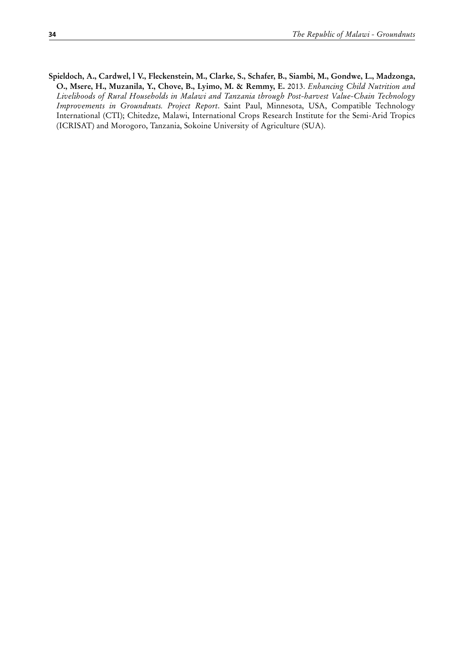**Spieldoch, A., Cardwel, l V., Fleckenstein, M., Clarke, S., Schafer, B., Siambi, M., Gondwe, L., Madzonga, O., Msere, H., Muzanila, Y., Chove, B., Lyimo, M. & Remmy, E.** 2013. *Enhancing Child Nutrition and Livelihoods of Rural Households in Malawi and Tanzania through Post-harvest Value-Chain Technology Improvements in Groundnuts. Project Report*. Saint Paul, Minnesota, USA, Compatible Technology International (CTI); Chitedze, Malawi, International Crops Research Institute for the Semi-Arid Tropics (ICRISAT) and Morogoro, Tanzania, Sokoine University of Agriculture (SUA).